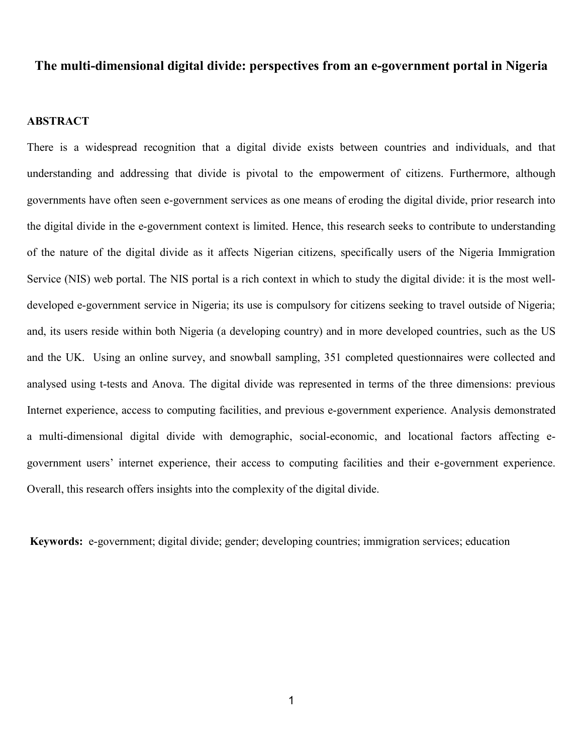# **The multi-dimensional digital divide: perspectives from an e-government portal in Nigeria**

# **ABSTRACT**

There is a widespread recognition that a digital divide exists between countries and individuals, and that understanding and addressing that divide is pivotal to the empowerment of citizens. Furthermore, although governments have often seen e-government services as one means of eroding the digital divide, prior research into the digital divide in the e-government context is limited. Hence, this research seeks to contribute to understanding of the nature of the digital divide as it affects Nigerian citizens, specifically users of the Nigeria Immigration Service (NIS) web portal. The NIS portal is a rich context in which to study the digital divide: it is the most welldeveloped e-government service in Nigeria; its use is compulsory for citizens seeking to travel outside of Nigeria; and, its users reside within both Nigeria (a developing country) and in more developed countries, such as the US and the UK. Using an online survey, and snowball sampling, 351 completed questionnaires were collected and analysed using t-tests and Anova. The digital divide was represented in terms of the three dimensions: previous Internet experience, access to computing facilities, and previous e-government experience. Analysis demonstrated a multi-dimensional digital divide with demographic, social-economic, and locational factors affecting egovernment users' internet experience, their access to computing facilities and their e-government experience. Overall, this research offers insights into the complexity of the digital divide.

**Keywords:** e-government; digital divide; gender; developing countries; immigration services; education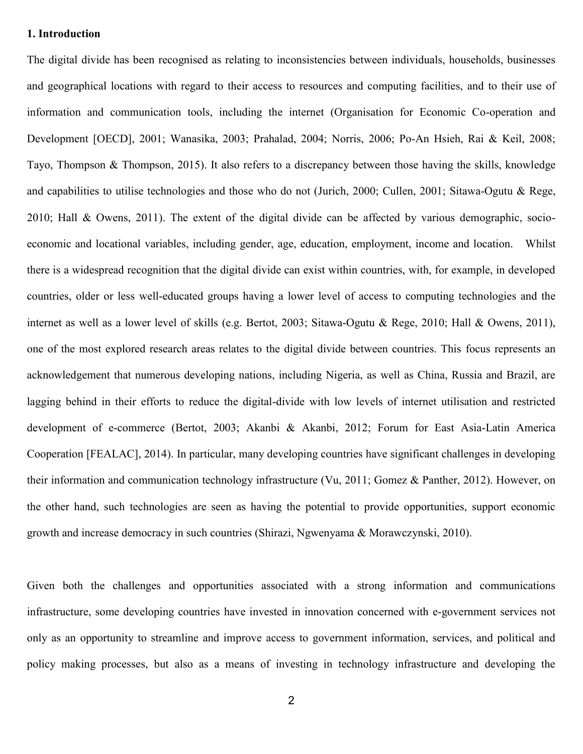# **1. Introduction**

The digital divide has been recognised as relating to inconsistencies between individuals, households, businesses and geographical locations with regard to their access to resources and computing facilities, and to their use of information and communication tools, including the internet (Organisation for Economic Co-operation and Development [OECD], 2001; Wanasika, 2003; Prahalad, 2004; Norris, 2006; Po-An Hsieh, Rai & Keil, 2008; Tayo, Thompson & Thompson, 2015). It also refers to a discrepancy between those having the skills, knowledge and capabilities to utilise technologies and those who do not (Jurich, 2000; Cullen, 2001; Sitawa-Ogutu & Rege, 2010; Hall & Owens, 2011). The extent of the digital divide can be affected by various demographic, socioeconomic and locational variables, including gender, age, education, employment, income and location. Whilst there is a widespread recognition that the digital divide can exist within countries, with, for example, in developed countries, older or less well-educated groups having a lower level of access to computing technologies and the internet as well as a lower level of skills (e.g. Bertot, 2003; Sitawa-Ogutu & Rege, 2010; Hall & Owens, 2011), one of the most explored research areas relates to the digital divide between countries. This focus represents an acknowledgement that numerous developing nations, including Nigeria, as well as China, Russia and Brazil, are lagging behind in their efforts to reduce the digital-divide with low levels of internet utilisation and restricted development of e-commerce (Bertot, 2003; Akanbi & Akanbi, 2012; Forum for East Asia-Latin America Cooperation [FEALAC], 2014). In particular, many developing countries have significant challenges in developing their information and communication technology infrastructure (Vu, 2011; Gomez & Panther, 2012). However, on the other hand, such technologies are seen as having the potential to provide opportunities, support economic growth and increase democracy in such countries (Shirazi, Ngwenyama & Morawczynski, 2010).

Given both the challenges and opportunities associated with a strong information and communications infrastructure, some developing countries have invested in innovation concerned with e-government services not only as an opportunity to streamline and improve access to government information, services, and political and policy making processes, but also as a means of investing in technology infrastructure and developing the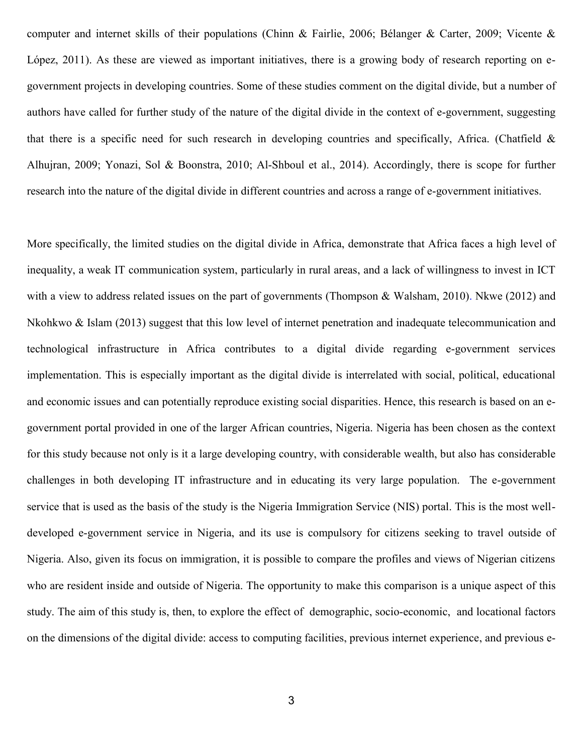computer and internet skills of their populations (Chinn & Fairlie, 2006; Bélanger & Carter, 2009; Vicente & López, 2011). As these are viewed as important initiatives, there is a growing body of research reporting on egovernment projects in developing countries. Some of these studies comment on the digital divide, but a number of authors have called for further study of the nature of the digital divide in the context of e-government, suggesting that there is a specific need for such research in developing countries and specifically, Africa. (Chatfield  $\&$ Alhujran, 2009; Yonazi, Sol & Boonstra, 2010; Al-Shboul et al., 2014). Accordingly, there is scope for further research into the nature of the digital divide in different countries and across a range of e-government initiatives.

More specifically, the limited studies on the digital divide in Africa, demonstrate that Africa faces a high level of inequality, a weak IT communication system, particularly in rural areas, and a lack of willingness to invest in ICT with a view to address related issues on the part of governments (Thompson & Walsham, 2010). Nkwe (2012) and Nkohkwo & Islam (2013) suggest that this low level of internet penetration and inadequate telecommunication and technological infrastructure in Africa contributes to a digital divide regarding e-government services implementation. This is especially important as the digital divide is interrelated with social, political, educational and economic issues and can potentially reproduce existing social disparities. Hence, this research is based on an egovernment portal provided in one of the larger African countries, Nigeria. Nigeria has been chosen as the context for this study because not only is it a large developing country, with considerable wealth, but also has considerable challenges in both developing IT infrastructure and in educating its very large population. The e-government service that is used as the basis of the study is the Nigeria Immigration Service (NIS) portal. This is the most welldeveloped e-government service in Nigeria, and its use is compulsory for citizens seeking to travel outside of Nigeria. Also, given its focus on immigration, it is possible to compare the profiles and views of Nigerian citizens who are resident inside and outside of Nigeria. The opportunity to make this comparison is a unique aspect of this study. The aim of this study is, then, to explore the effect of demographic, socio-economic, and locational factors on the dimensions of the digital divide: access to computing facilities, previous internet experience, and previous e-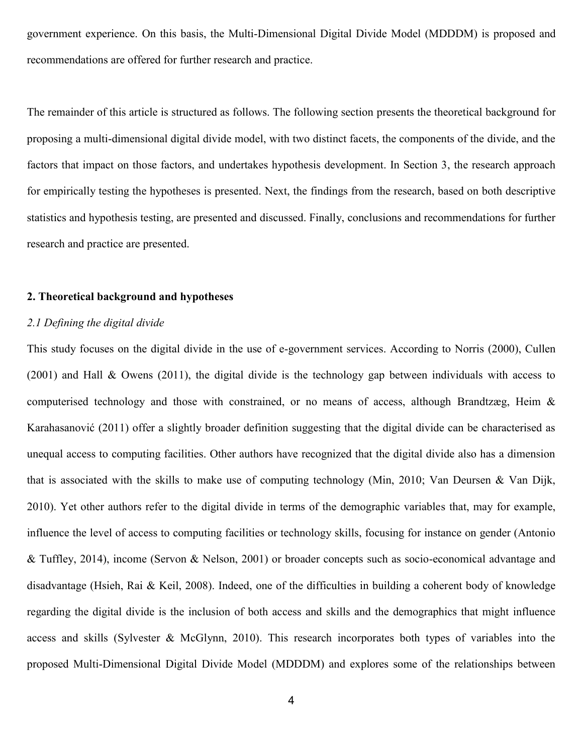government experience. On this basis, the Multi-Dimensional Digital Divide Model (MDDDM) is proposed and recommendations are offered for further research and practice.

The remainder of this article is structured as follows. The following section presents the theoretical background for proposing a multi-dimensional digital divide model, with two distinct facets, the components of the divide, and the factors that impact on those factors, and undertakes hypothesis development. In Section 3, the research approach for empirically testing the hypotheses is presented. Next, the findings from the research, based on both descriptive statistics and hypothesis testing, are presented and discussed. Finally, conclusions and recommendations for further research and practice are presented.

#### **2. Theoretical background and hypotheses**

### *2.1 Defining the digital divide*

This study focuses on the digital divide in the use of e-government services. According to Norris (2000), Cullen (2001) and Hall & Owens (2011), the digital divide is the technology gap between individuals with access to computerised technology and those with constrained, or no means of access, although Brandtzæg, Heim & Karahasanović (2011) offer a slightly broader definition suggesting that the digital divide can be characterised as unequal access to computing facilities. Other authors have recognized that the digital divide also has a dimension that is associated with the skills to make use of computing technology (Min, 2010; Van Deursen & Van Dijk, 2010). Yet other authors refer to the digital divide in terms of the demographic variables that, may for example, influence the level of access to computing facilities or technology skills, focusing for instance on gender (Antonio & Tuffley, 2014), income (Servon & Nelson, 2001) or broader concepts such as socio-economical advantage and disadvantage (Hsieh, Rai & Keil, 2008). Indeed, one of the difficulties in building a coherent body of knowledge regarding the digital divide is the inclusion of both access and skills and the demographics that might influence access and skills (Sylvester & McGlynn, 2010). This research incorporates both types of variables into the proposed Multi-Dimensional Digital Divide Model (MDDDM) and explores some of the relationships between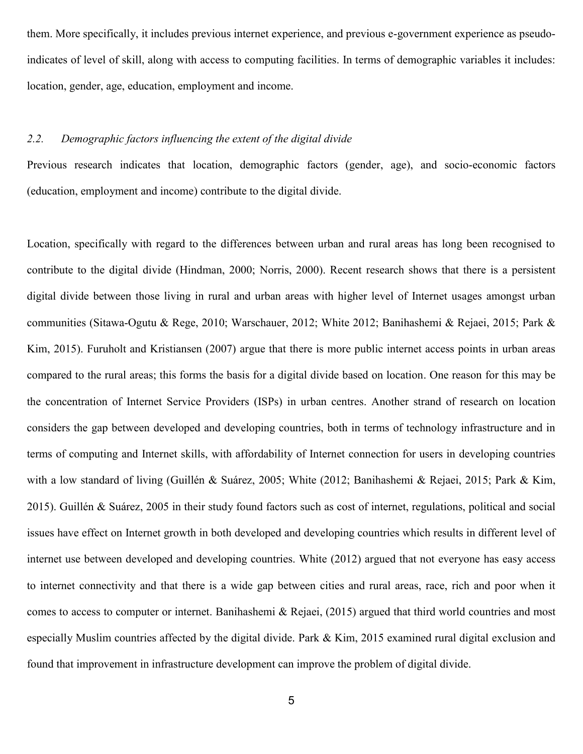them. More specifically, it includes previous internet experience, and previous e-government experience as pseudoindicates of level of skill, along with access to computing facilities. In terms of demographic variables it includes: location, gender, age, education, employment and income.

# *2.2. Demographic factors influencing the extent of the digital divide*

Previous research indicates that location, demographic factors (gender, age), and socio-economic factors (education, employment and income) contribute to the digital divide.

Location, specifically with regard to the differences between urban and rural areas has long been recognised to contribute to the digital divide (Hindman, 2000; Norris, 2000). Recent research shows that there is a persistent digital divide between those living in rural and urban areas with higher level of Internet usages amongst urban communities (Sitawa-Ogutu & Rege, 2010; Warschauer, 2012; White 2012; Banihashemi & Rejaei, 2015; Park & Kim, 2015). Furuholt and Kristiansen (2007) argue that there is more public internet access points in urban areas compared to the rural areas; this forms the basis for a digital divide based on location. One reason for this may be the concentration of Internet Service Providers (ISPs) in urban centres. Another strand of research on location considers the gap between developed and developing countries, both in terms of technology infrastructure and in terms of computing and Internet skills, with affordability of Internet connection for users in developing countries with a low standard of living (Guillén & Suárez, 2005; White (2012; Banihashemi & Rejaei, 2015; Park & Kim, 2015). Guillén & Suárez, 2005 in their study found factors such as cost of internet, regulations, political and social issues have effect on Internet growth in both developed and developing countries which results in different level of internet use between developed and developing countries. White (2012) argued that not everyone has easy access to internet connectivity and that there is a wide gap between cities and rural areas, race, rich and poor when it comes to access to computer or internet. Banihashemi & Rejaei, (2015) argued that third world countries and most especially Muslim countries affected by the digital divide. Park & Kim, 2015 examined rural digital exclusion and found that improvement in infrastructure development can improve the problem of digital divide.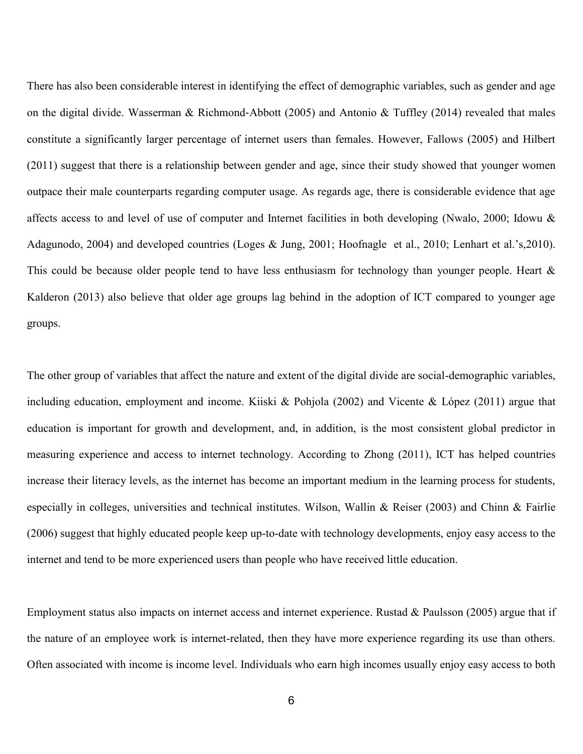There has also been considerable interest in identifying the effect of demographic variables, such as gender and age on the digital divide. Wasserman & Richmond‐Abbott (2005) and Antonio & Tuffley (2014) revealed that males constitute a significantly larger percentage of internet users than females. However, Fallows (2005) and Hilbert (2011) suggest that there is a relationship between gender and age, since their study showed that younger women outpace their male counterparts regarding computer usage. As regards age, there is considerable evidence that age affects access to and level of use of computer and Internet facilities in both developing (Nwalo, 2000; Idowu & Adagunodo, 2004) and developed countries (Loges & Jung, 2001; Hoofnagle et al., 2010; Lenhart et al.'s,2010). This could be because older people tend to have less enthusiasm for technology than younger people. Heart & Kalderon (2013) also believe that older age groups lag behind in the adoption of ICT compared to younger age groups.

The other group of variables that affect the nature and extent of the digital divide are social-demographic variables, including education, employment and income. Kiiski & Pohjola (2002) and Vicente & López (2011) argue that education is important for growth and development, and, in addition, is the most consistent global predictor in measuring experience and access to internet technology. According to Zhong (2011), ICT has helped countries increase their literacy levels, as the internet has become an important medium in the learning process for students, especially in colleges, universities and technical institutes. Wilson, Wallin & Reiser (2003) and Chinn & Fairlie (2006) suggest that highly educated people keep up-to-date with technology developments, enjoy easy access to the internet and tend to be more experienced users than people who have received little education.

Employment status also impacts on internet access and internet experience. Rustad & Paulsson (2005) argue that if the nature of an employee work is internet-related, then they have more experience regarding its use than others. Often associated with income is income level. Individuals who earn high incomes usually enjoy easy access to both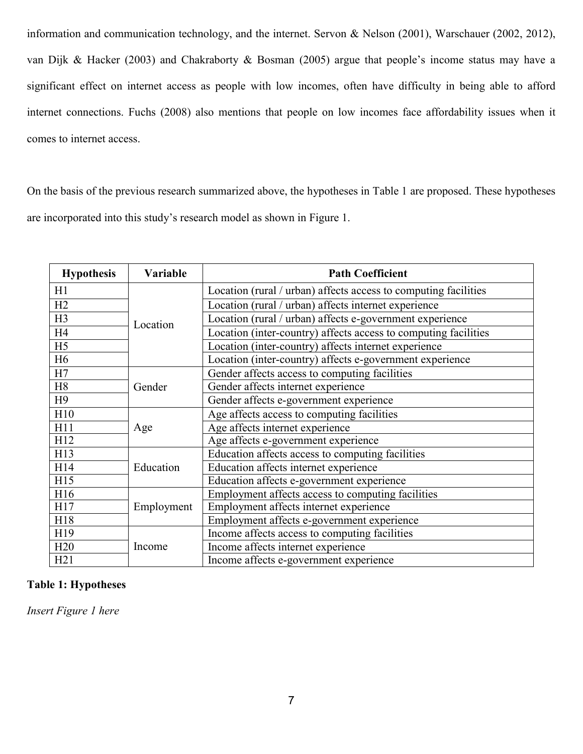information and communication technology, and the internet. Servon & Nelson (2001), Warschauer (2002, 2012), van Dijk & Hacker (2003) and Chakraborty & Bosman (2005) argue that people's income status may have a significant effect on internet access as people with low incomes, often have difficulty in being able to afford internet connections. Fuchs (2008) also mentions that people on low incomes face affordability issues when it comes to internet access.

On the basis of the previous research summarized above, the hypotheses in Table 1 are proposed. These hypotheses are incorporated into this study's research model as shown in Figure 1.

| <b>Hypothesis</b> | Variable   | <b>Path Coefficient</b>                                         |
|-------------------|------------|-----------------------------------------------------------------|
| H1                |            | Location (rural / urban) affects access to computing facilities |
| H2                |            | Location (rural / urban) affects internet experience            |
| H <sub>3</sub>    | Location   | Location (rural / urban) affects e-government experience        |
| H <sub>4</sub>    |            | Location (inter-country) affects access to computing facilities |
| H <sub>5</sub>    |            | Location (inter-country) affects internet experience            |
| H <sub>6</sub>    |            | Location (inter-country) affects e-government experience        |
| H7                |            | Gender affects access to computing facilities                   |
| H <sub>8</sub>    | Gender     | Gender affects internet experience                              |
| H9                |            | Gender affects e-government experience                          |
| H10               |            | Age affects access to computing facilities                      |
| H11               | Age        | Age affects internet experience                                 |
| H12               |            | Age affects e-government experience                             |
| H13               |            | Education affects access to computing facilities                |
| H14               | Education  | Education affects internet experience                           |
| H15               |            | Education affects e-government experience                       |
| H16               |            | Employment affects access to computing facilities               |
| H17               | Employment | Employment affects internet experience                          |
| H18               |            | Employment affects e-government experience                      |
| H19               |            | Income affects access to computing facilities                   |
| H20               | Income     | Income affects internet experience                              |
| H21               |            | Income affects e-government experience                          |

# **Table 1: Hypotheses**

*Insert Figure 1 here*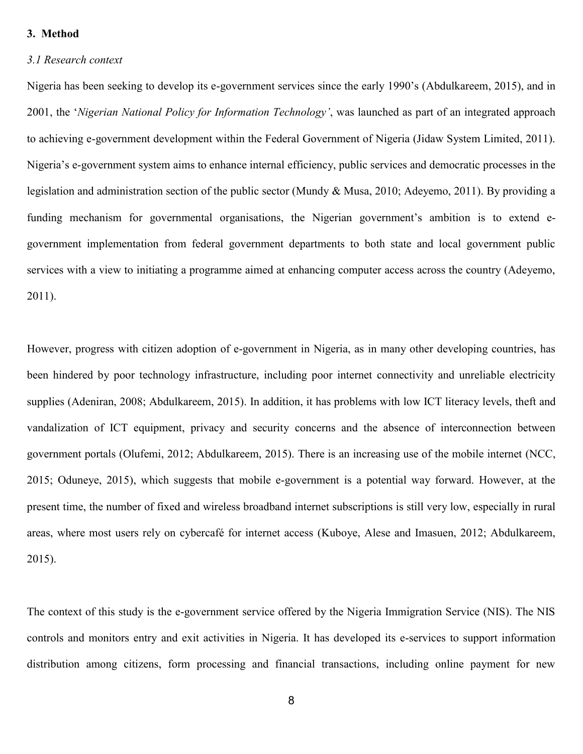# **3. Method**

#### *3.1 Research context*

Nigeria has been seeking to develop its e-government services since the early 1990's (Abdulkareem, 2015), and in 2001, the '*Nigerian National Policy for Information Technology'*, was launched as part of an integrated approach to achieving e-government development within the Federal Government of Nigeria (Jidaw System Limited, 2011). Nigeria's e-government system aims to enhance internal efficiency, public services and democratic processes in the legislation and administration section of the public sector (Mundy & Musa, 2010; Adeyemo, 2011). By providing a funding mechanism for governmental organisations, the Nigerian government's ambition is to extend egovernment implementation from federal government departments to both state and local government public services with a view to initiating a programme aimed at enhancing computer access across the country (Adeyemo, 2011).

However, progress with citizen adoption of e-government in Nigeria, as in many other developing countries, has been hindered by poor technology infrastructure, including poor internet connectivity and unreliable electricity supplies (Adeniran, 2008; Abdulkareem, 2015). In addition, it has problems with low ICT literacy levels, theft and vandalization of ICT equipment, privacy and security concerns and the absence of interconnection between government portals (Olufemi, 2012; Abdulkareem, 2015). There is an increasing use of the mobile internet (NCC, 2015; Oduneye, 2015), which suggests that mobile e-government is a potential way forward. However, at the present time, the number of fixed and wireless broadband internet subscriptions is still very low, especially in rural areas, where most users rely on cybercafé for internet access (Kuboye, Alese and Imasuen, 2012; Abdulkareem, 2015).

The context of this study is the e-government service offered by the Nigeria Immigration Service (NIS). The NIS controls and monitors entry and exit activities in Nigeria. It has developed its e-services to support information distribution among citizens, form processing and financial transactions, including online payment for new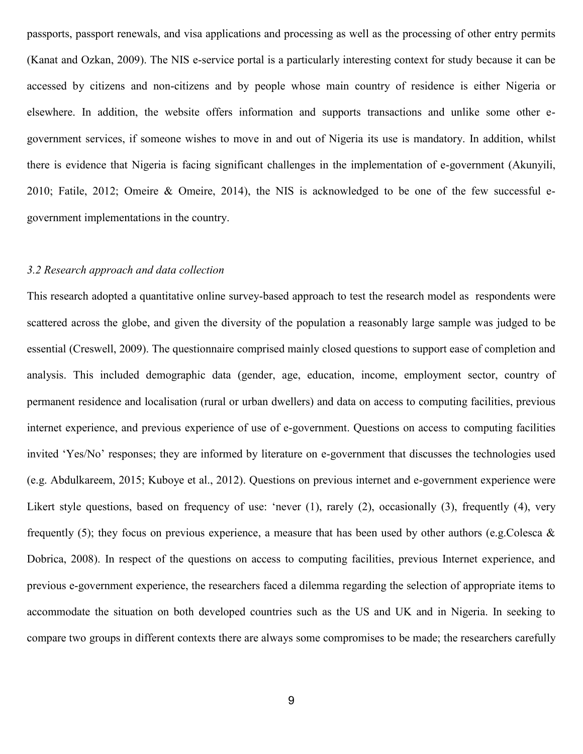passports, passport renewals, and visa applications and processing as well as the processing of other entry permits (Kanat and Ozkan, 2009). The NIS e-service portal is a particularly interesting context for study because it can be accessed by citizens and non-citizens and by people whose main country of residence is either Nigeria or elsewhere. In addition, the website offers information and supports transactions and unlike some other egovernment services, if someone wishes to move in and out of Nigeria its use is mandatory. In addition, whilst there is evidence that Nigeria is facing significant challenges in the implementation of e-government (Akunyili, 2010; Fatile, 2012; Omeire & Omeire, 2014), the NIS is acknowledged to be one of the few successful egovernment implementations in the country.

#### *3.2 Research approach and data collection*

This research adopted a quantitative online survey-based approach to test the research model as respondents were scattered across the globe, and given the diversity of the population a reasonably large sample was judged to be essential (Creswell, 2009). The questionnaire comprised mainly closed questions to support ease of completion and analysis. This included demographic data (gender, age, education, income, employment sector, country of permanent residence and localisation (rural or urban dwellers) and data on access to computing facilities, previous internet experience, and previous experience of use of e-government. Questions on access to computing facilities invited 'Yes/No' responses; they are informed by literature on e-government that discusses the technologies used (e.g. Abdulkareem, 2015; Kuboye et al., 2012). Questions on previous internet and e-government experience were Likert style questions, based on frequency of use: 'never (1), rarely (2), occasionally (3), frequently (4), very frequently (5); they focus on previous experience, a measure that has been used by other authors (e.g.Colesca  $\&$ Dobrica, 2008). In respect of the questions on access to computing facilities, previous Internet experience, and previous e-government experience, the researchers faced a dilemma regarding the selection of appropriate items to accommodate the situation on both developed countries such as the US and UK and in Nigeria. In seeking to compare two groups in different contexts there are always some compromises to be made; the researchers carefully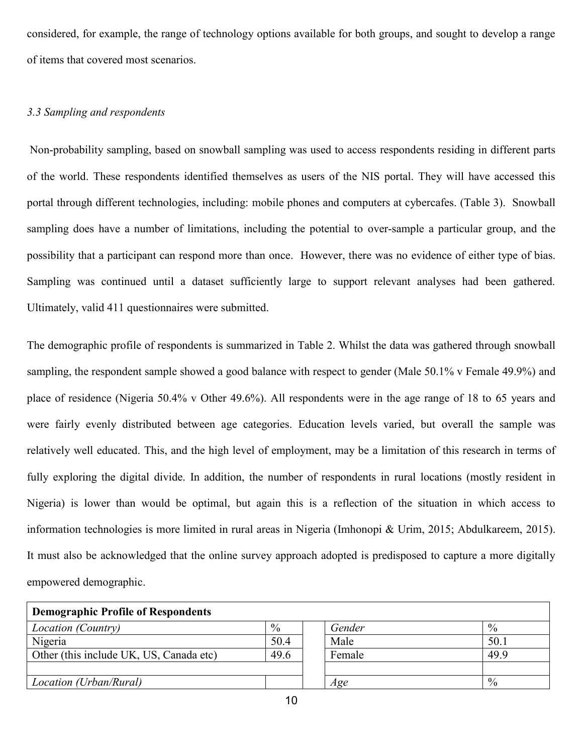considered, for example, the range of technology options available for both groups, and sought to develop a range of items that covered most scenarios.

### *3.3 Sampling and respondents*

Non-probability sampling, based on snowball sampling was used to access respondents residing in different parts of the world. These respondents identified themselves as users of the NIS portal. They will have accessed this portal through different technologies, including: mobile phones and computers at cybercafes. (Table 3). Snowball sampling does have a number of limitations, including the potential to over-sample a particular group, and the possibility that a participant can respond more than once. However, there was no evidence of either type of bias. Sampling was continued until a dataset sufficiently large to support relevant analyses had been gathered. Ultimately, valid 411 questionnaires were submitted.

The demographic profile of respondents is summarized in Table 2. Whilst the data was gathered through snowball sampling, the respondent sample showed a good balance with respect to gender (Male 50.1% v Female 49.9%) and place of residence (Nigeria 50.4% v Other 49.6%). All respondents were in the age range of 18 to 65 years and were fairly evenly distributed between age categories. Education levels varied, but overall the sample was relatively well educated. This, and the high level of employment, may be a limitation of this research in terms of fully exploring the digital divide. In addition, the number of respondents in rural locations (mostly resident in Nigeria) is lower than would be optimal, but again this is a reflection of the situation in which access to information technologies is more limited in rural areas in Nigeria (Imhonopi & Urim, 2015; Abdulkareem, 2015). It must also be acknowledged that the online survey approach adopted is predisposed to capture a more digitally empowered demographic.

| <b>Demographic Profile of Respondents</b> |      |  |        |               |  |
|-------------------------------------------|------|--|--------|---------------|--|
| Location (Country)                        | $\%$ |  | Gender | $\frac{0}{0}$ |  |
| Nigeria                                   | 50.4 |  | Male   | 50.1          |  |
| Other (this include UK, US, Canada etc)   | 49.6 |  | Female | 49.9          |  |
|                                           |      |  |        |               |  |
| Location (Urban/Rural)                    |      |  | Age    | $\frac{0}{0}$ |  |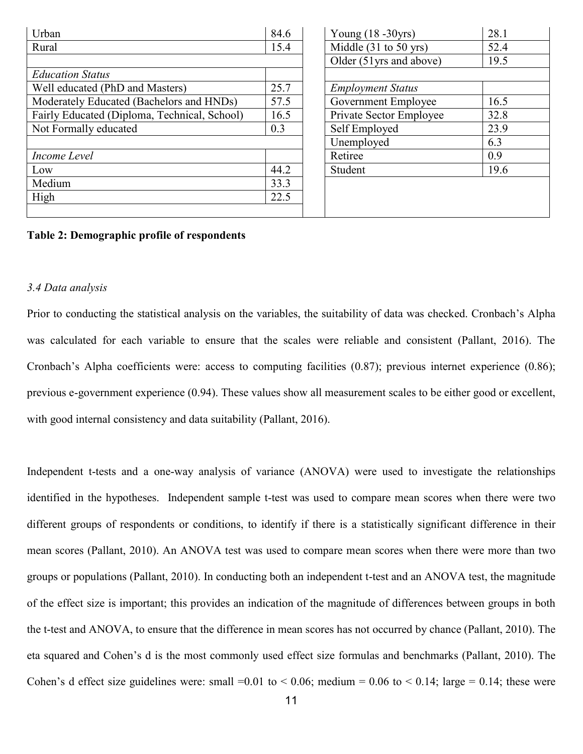| Urban                                        | 84.6 |         | Young $(18 - 30yrs)$     | 28.1 |
|----------------------------------------------|------|---------|--------------------------|------|
| Rural                                        | 15.4 |         | Middle $(31$ to 50 yrs)  | 52.4 |
|                                              |      |         | Older (51 yrs and above) | 19.5 |
| <b>Education Status</b>                      |      |         |                          |      |
| Well educated (PhD and Masters)              | 25.7 |         | <b>Employment Status</b> |      |
| Moderately Educated (Bachelors and HNDs)     | 57.5 |         | Government Employee      | 16.5 |
| Fairly Educated (Diploma, Technical, School) | 16.5 |         | Private Sector Employee  | 32.8 |
| Not Formally educated                        | 0.3  |         | Self Employed            | 23.9 |
|                                              |      |         | Unemployed               | 6.3  |
| Income Level                                 |      | Retiree |                          | 0.9  |
| Low                                          | 44.2 | Student |                          | 19.6 |
| Medium                                       | 33.3 |         |                          |      |
| High                                         | 22.5 |         |                          |      |
|                                              |      |         |                          |      |

# **Table 2: Demographic profile of respondents**

### *3.4 Data analysis*

Prior to conducting the statistical analysis on the variables, the suitability of data was checked. Cronbach's Alpha was calculated for each variable to ensure that the scales were reliable and consistent (Pallant, 2016). The Cronbach's Alpha coefficients were: access to computing facilities (0.87); previous internet experience (0.86); previous e-government experience (0.94). These values show all measurement scales to be either good or excellent, with good internal consistency and data suitability (Pallant, 2016).

Independent t-tests and a one-way analysis of variance (ANOVA) were used to investigate the relationships identified in the hypotheses. Independent sample t-test was used to compare mean scores when there were two different groups of respondents or conditions, to identify if there is a statistically significant difference in their mean scores (Pallant, 2010). An ANOVA test was used to compare mean scores when there were more than two groups or populations (Pallant, 2010). In conducting both an independent t-test and an ANOVA test, the magnitude of the effect size is important; this provides an indication of the magnitude of differences between groups in both the t-test and ANOVA, to ensure that the difference in mean scores has not occurred by chance (Pallant, 2010). The eta squared and Cohen's d is the most commonly used effect size formulas and benchmarks (Pallant, 2010). The Cohen's d effect size guidelines were: small =0.01 to < 0.06; medium = 0.06 to < 0.14; large = 0.14; these were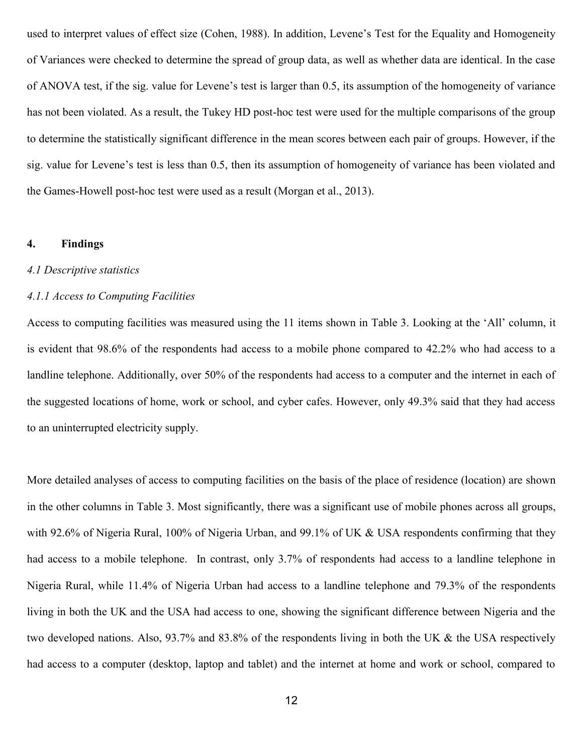used to interpret values of effect size (Cohen, 1988). In addition, Levene's Test for the Equality and Homogeneity of Variances were checked to determine the spread of group data, as well as whether data are identical. In the case of ANOVA test, if the sig. value for Levene's test is larger than 0.5, its assumption of the homogeneity of variance has not been violated. As a result, the Tukey HD post-hoc test were used for the multiple comparisons of the group to determine the statistically significant difference in the mean scores between each pair of groups. However, if the sig. value for Levene's test is less than 0.5, then its assumption of homogeneity of variance has been violated and the Games-Howell post-hoc test were used as a result (Morgan et al., 2013).

#### **4. Findings**

#### *4.1 Descriptive statistics*

#### *4.1.1 Access to Computing Facilities*

Access to computing facilities was measured using the 11 items shown in Table 3. Looking at the 'All' column, it is evident that 98.6% of the respondents had access to a mobile phone compared to 42.2% who had access to a landline telephone. Additionally, over 50% of the respondents had access to a computer and the internet in each of the suggested locations of home, work or school, and cyber cafes. However, only 49.3% said that they had access to an uninterrupted electricity supply.

More detailed analyses of access to computing facilities on the basis of the place of residence (location) are shown in the other columns in Table 3. Most significantly, there was a significant use of mobile phones across all groups, with 92.6% of Nigeria Rural, 100% of Nigeria Urban, and 99.1% of UK & USA respondents confirming that they had access to a mobile telephone. In contrast, only 3.7% of respondents had access to a landline telephone in Nigeria Rural, while 11.4% of Nigeria Urban had access to a landline telephone and 79.3% of the respondents living in both the UK and the USA had access to one, showing the significant difference between Nigeria and the two developed nations. Also, 93.7% and 83.8% of the respondents living in both the UK & the USA respectively had access to a computer (desktop, laptop and tablet) and the internet at home and work or school, compared to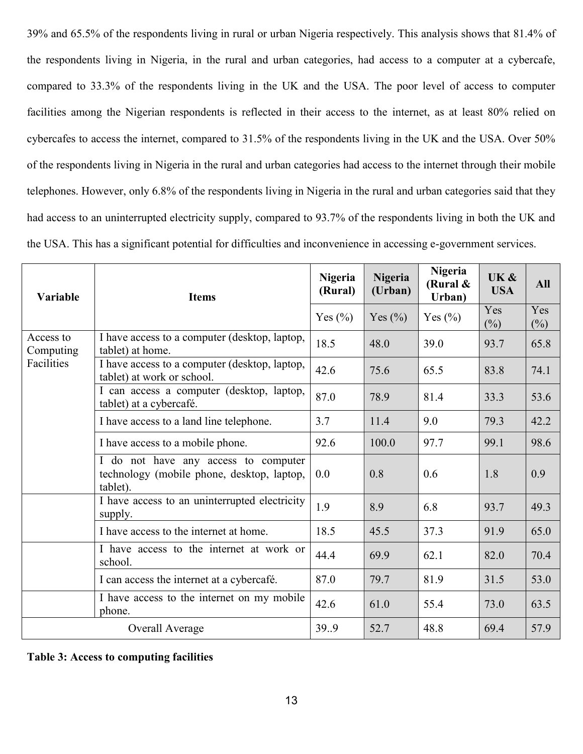39% and 65.5% of the respondents living in rural or urban Nigeria respectively. This analysis shows that 81.4% of the respondents living in Nigeria, in the rural and urban categories, had access to a computer at a cybercafe, compared to 33.3% of the respondents living in the UK and the USA. The poor level of access to computer facilities among the Nigerian respondents is reflected in their access to the internet, as at least 80% relied on cybercafes to access the internet, compared to 31.5% of the respondents living in the UK and the USA. Over 50% of the respondents living in Nigeria in the rural and urban categories had access to the internet through their mobile telephones. However, only 6.8% of the respondents living in Nigeria in the rural and urban categories said that they had access to an uninterrupted electricity supply, compared to 93.7% of the respondents living in both the UK and the USA. This has a significant potential for difficulties and inconvenience in accessing e-government services.

| Variable               | <b>Items</b>                                                                                   | <b>Nigeria</b><br>(Rural) | Nigeria<br>(Urban) | <b>Nigeria</b><br>(Rural &<br>Urban) | UK &<br><b>USA</b> | <b>All</b>    |
|------------------------|------------------------------------------------------------------------------------------------|---------------------------|--------------------|--------------------------------------|--------------------|---------------|
|                        |                                                                                                | Yes $(\% )$               | Yes $(\%)$         | Yes $(\% )$                          | Yes<br>(%)         | Yes<br>$(\%)$ |
| Access to<br>Computing | I have access to a computer (desktop, laptop,<br>tablet) at home.                              | 18.5                      | 48.0               | 39.0                                 | 93.7               | 65.8          |
| Facilities             | I have access to a computer (desktop, laptop,<br>tablet) at work or school.                    | 42.6                      | 75.6               | 65.5                                 | 83.8               | 74.1          |
|                        | I can access a computer (desktop, laptop,<br>tablet) at a cybercafé.                           | 87.0                      | 78.9               | 81.4                                 | 33.3               | 53.6          |
|                        | I have access to a land line telephone.                                                        | 3.7                       | 11.4               | 9.0                                  | 79.3               | 42.2          |
|                        | I have access to a mobile phone.                                                               | 92.6                      | 100.0              | 97.7                                 | 99.1               | 98.6          |
|                        | I do not have any access to computer<br>technology (mobile phone, desktop, laptop,<br>tablet). | 0.0                       | 0.8                | 0.6                                  | 1.8                | 0.9           |
|                        | I have access to an uninterrupted electricity<br>supply.                                       | 1.9                       | 8.9                | 6.8                                  | 93.7               | 49.3          |
|                        | I have access to the internet at home.                                                         | 18.5                      | 45.5               | 37.3                                 | 91.9               | 65.0          |
|                        | I have access to the internet at work or<br>school.                                            | 44.4                      | 69.9               | 62.1                                 | 82.0               | 70.4          |
|                        | I can access the internet at a cybercafé.                                                      | 87.0                      | 79.7               | 81.9                                 | 31.5               | 53.0          |
|                        | I have access to the internet on my mobile<br>phone.                                           | 42.6                      | 61.0               | 55.4                                 | 73.0               | 63.5          |
|                        | Overall Average                                                                                | 39.9                      | 52.7               | 48.8                                 | 69.4               | 57.9          |

**Table 3: Access to computing facilities**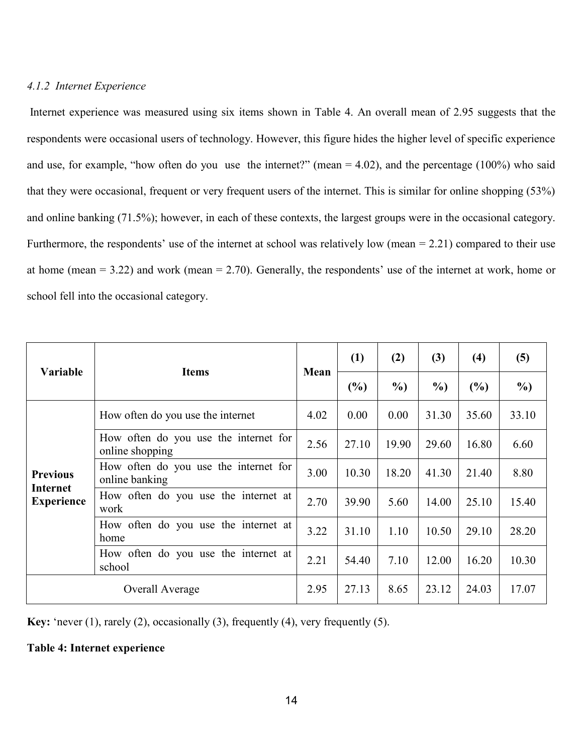# *4.1.2 Internet Experience*

Internet experience was measured using six items shown in Table 4. An overall mean of 2.95 suggests that the respondents were occasional users of technology. However, this figure hides the higher level of specific experience and use, for example, "how often do you use the internet?" (mean  $= 4.02$ ), and the percentage (100%) who said that they were occasional, frequent or very frequent users of the internet. This is similar for online shopping (53%) and online banking (71.5%); however, in each of these contexts, the largest groups were in the occasional category. Furthermore, the respondents' use of the internet at school was relatively low (mean = 2.21) compared to their use at home (mean = 3.22) and work (mean = 2.70). Generally, the respondents' use of the internet at work, home or school fell into the occasional category.

| <b>Variable</b>                                  | <b>Items</b>                                             | Mean | (1)   | (2)    | (3)   | (4)    | (5)    |
|--------------------------------------------------|----------------------------------------------------------|------|-------|--------|-------|--------|--------|
|                                                  |                                                          |      | (%)   | $\%$ ) | $\%$  | $(\%)$ | $\%$ ) |
| <b>Previous</b><br>Internet<br><b>Experience</b> | How often do you use the internet                        | 4.02 | 0.00  | 0.00   | 31.30 | 35.60  | 33.10  |
|                                                  | How often do you use the internet for<br>online shopping | 2.56 | 27.10 | 19.90  | 29.60 | 16.80  | 6.60   |
|                                                  | How often do you use the internet for<br>online banking  | 3.00 | 10.30 | 18.20  | 41.30 | 21.40  | 8.80   |
|                                                  | How often do you use the internet at<br>work             | 2.70 | 39.90 | 5.60   | 14.00 | 25.10  | 15.40  |
|                                                  | How often do you use the internet at<br>home             |      | 31.10 | 1.10   | 10.50 | 29.10  | 28.20  |
|                                                  | How often do you use the internet at<br>school           | 2.21 | 54.40 | 7.10   | 12.00 | 16.20  | 10.30  |
| Overall Average                                  |                                                          | 2.95 | 27.13 | 8.65   | 23.12 | 24.03  | 17.07  |

**Key:** 'never (1), rarely (2), occasionally (3), frequently (4), very frequently (5).

# **Table 4: Internet experience**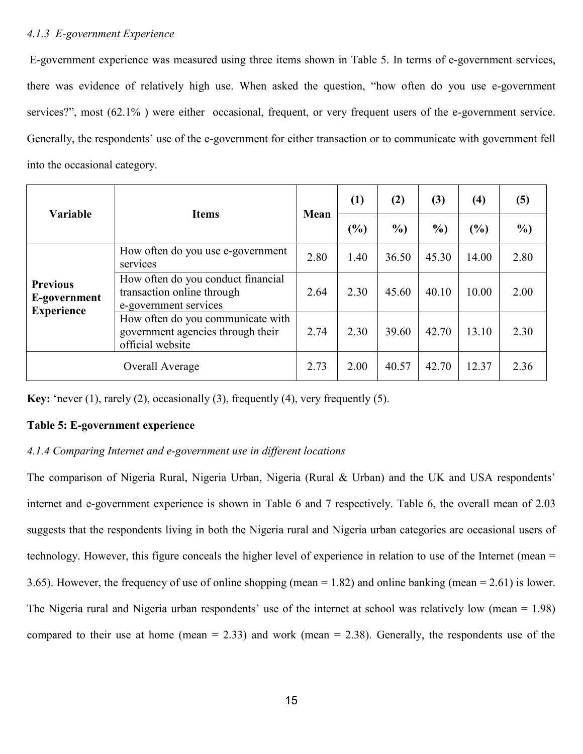# *4.1.3 E-government Experience*

E-government experience was measured using three items shown in Table 5. In terms of e-government services, there was evidence of relatively high use. When asked the question, "how often do you use e-government services?", most (62.1%) were either occasional, frequent, or very frequent users of the e-government service. Generally, the respondents' use of the e-government for either transaction or to communicate with government fell into the occasional category.

| <b>Variable</b>                                      | <b>Items</b>                                                                               | Mean | (1)  | (2)    | (3)    | (4)   | (5)           |
|------------------------------------------------------|--------------------------------------------------------------------------------------------|------|------|--------|--------|-------|---------------|
|                                                      |                                                                                            |      | (%)  | $\%$ ) | $\%$ ) | (%)   | $\frac{0}{0}$ |
| <b>Previous</b><br>E-government<br><b>Experience</b> | How often do you use e-government<br>services                                              | 2.80 | 1.40 | 36.50  | 45.30  | 14.00 | 2.80          |
|                                                      | How often do you conduct financial<br>transaction online through<br>e-government services  | 2.64 | 2.30 | 45.60  | 40.10  | 10.00 | 2.00          |
|                                                      | How often do you communicate with<br>government agencies through their<br>official website | 2.74 | 2.30 | 39.60  | 42.70  | 13.10 | 2.30          |
| Overall Average                                      |                                                                                            | 2.73 | 2.00 | 40.57  | 42.70  | 12.37 | 2.36          |

**Key:** 'never (1), rarely (2), occasionally (3), frequently (4), very frequently (5).

# **Table 5: E-government experience**

# *4.1.4 Comparing Internet and e-government use in different locations*

The comparison of Nigeria Rural, Nigeria Urban, Nigeria (Rural & Urban) and the UK and USA respondents' internet and e-government experience is shown in Table 6 and 7 respectively. Table 6, the overall mean of 2.03 suggests that the respondents living in both the Nigeria rural and Nigeria urban categories are occasional users of technology. However, this figure conceals the higher level of experience in relation to use of the Internet (mean = 3.65). However, the frequency of use of online shopping (mean  $= 1.82$ ) and online banking (mean  $= 2.61$ ) is lower. The Nigeria rural and Nigeria urban respondents' use of the internet at school was relatively low (mean = 1.98) compared to their use at home (mean  $= 2.33$ ) and work (mean  $= 2.38$ ). Generally, the respondents use of the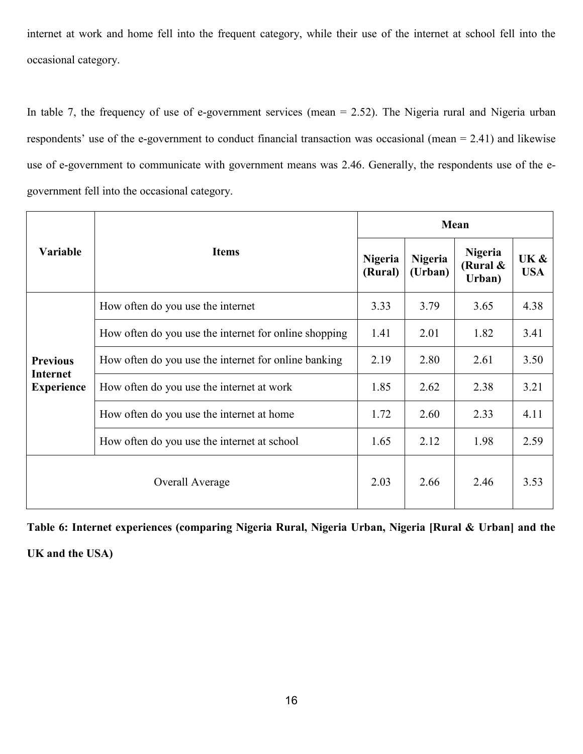internet at work and home fell into the frequent category, while their use of the internet at school fell into the occasional category.

In table 7, the frequency of use of e-government services (mean  $= 2.52$ ). The Nigeria rural and Nigeria urban respondents' use of the e-government to conduct financial transaction was occasional (mean = 2.41) and likewise use of e-government to communicate with government means was 2.46. Generally, the respondents use of the egovernment fell into the occasional category.

|                                                         | <b>Items</b>                                          |      | Mean                      |                                         |                    |  |  |  |
|---------------------------------------------------------|-------------------------------------------------------|------|---------------------------|-----------------------------------------|--------------------|--|--|--|
| <b>Variable</b>                                         |                                                       |      | <b>Nigeria</b><br>(Urban) | <b>Nigeria</b><br>(Rural $\&$<br>Urban) | UK &<br><b>USA</b> |  |  |  |
| <b>Previous</b><br><b>Internet</b><br><b>Experience</b> | How often do you use the internet                     | 3.33 | 3.79                      | 3.65                                    | 4.38               |  |  |  |
|                                                         | How often do you use the internet for online shopping | 1.41 | 2.01                      | 1.82                                    | 3.41               |  |  |  |
|                                                         | How often do you use the internet for online banking  | 2.19 | 2.80                      | 2.61                                    | 3.50               |  |  |  |
|                                                         | How often do you use the internet at work             |      | 2.62                      | 2.38                                    | 3.21               |  |  |  |
|                                                         | How often do you use the internet at home             |      | 2.60                      | 2.33                                    | 4.11               |  |  |  |
|                                                         | How often do you use the internet at school           |      | 2.12                      | 1.98                                    | 2.59               |  |  |  |
| Overall Average                                         |                                                       | 2.03 | 2.66                      | 2.46                                    | 3.53               |  |  |  |

**Table 6: Internet experiences (comparing Nigeria Rural, Nigeria Urban, Nigeria [Rural & Urban] and the** 

**UK and the USA)**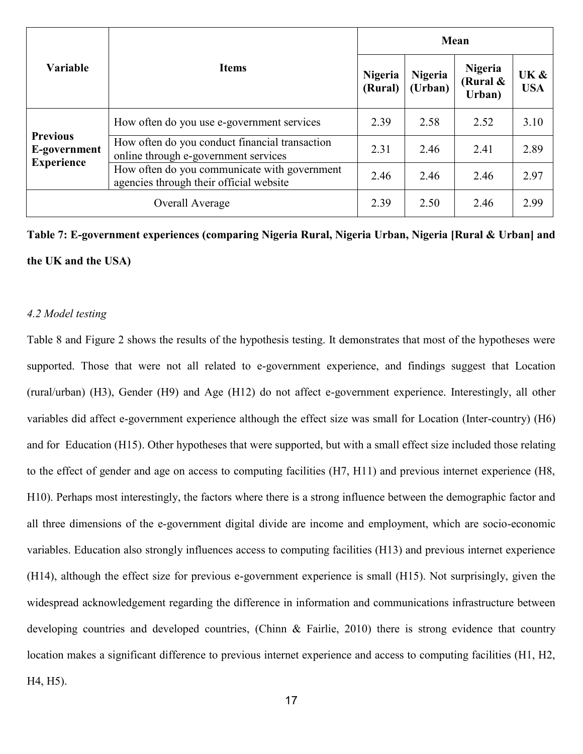|                                                      | <b>Items</b>                                                                            |      | Mean                      |                                      |                    |  |  |  |
|------------------------------------------------------|-----------------------------------------------------------------------------------------|------|---------------------------|--------------------------------------|--------------------|--|--|--|
| <b>Variable</b>                                      |                                                                                         |      | <b>Nigeria</b><br>(Urban) | <b>Nigeria</b><br>(Rural &<br>Urban) | UK &<br><b>USA</b> |  |  |  |
| <b>Previous</b><br>E-government<br><b>Experience</b> | How often do you use e-government services                                              | 2.39 | 2.58                      | 2.52                                 | 3.10               |  |  |  |
|                                                      | How often do you conduct financial transaction<br>online through e-government services  | 2.31 | 2.46                      | 2.41                                 | 2.89               |  |  |  |
|                                                      | How often do you communicate with government<br>agencies through their official website |      | 2.46                      | 2.46                                 | 2.97               |  |  |  |
| Overall Average                                      |                                                                                         | 2.39 | 2.50                      | 2.46                                 | 2.99               |  |  |  |

**Table 7: E-government experiences (comparing Nigeria Rural, Nigeria Urban, Nigeria [Rural & Urban] and the UK and the USA)** 

### *4.2 Model testing*

Table 8 and Figure 2 shows the results of the hypothesis testing. It demonstrates that most of the hypotheses were supported. Those that were not all related to e-government experience, and findings suggest that Location (rural/urban) (H3), Gender (H9) and Age (H12) do not affect e-government experience. Interestingly, all other variables did affect e-government experience although the effect size was small for Location (Inter-country) (H6) and for Education (H15). Other hypotheses that were supported, but with a small effect size included those relating to the effect of gender and age on access to computing facilities (H7, H11) and previous internet experience (H8, H10). Perhaps most interestingly, the factors where there is a strong influence between the demographic factor and all three dimensions of the e-government digital divide are income and employment, which are socio-economic variables. Education also strongly influences access to computing facilities (H13) and previous internet experience (H14), although the effect size for previous e-government experience is small (H15). Not surprisingly, given the widespread acknowledgement regarding the difference in information and communications infrastructure between developing countries and developed countries, (Chinn & Fairlie, 2010) there is strong evidence that country location makes a significant difference to previous internet experience and access to computing facilities (H1, H2, H4, H5).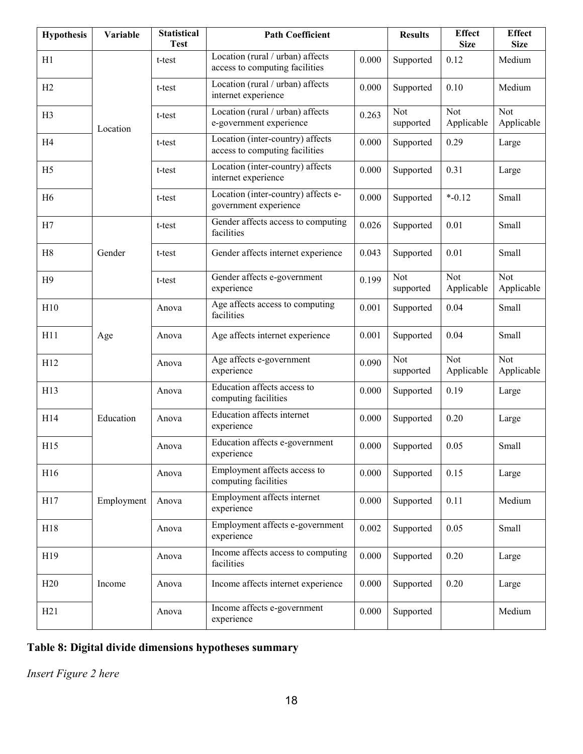| <b>Hypothesis</b> | Variable   | <b>Statistical</b><br><b>Test</b> | <b>Path Coefficient</b>                                            |           | <b>Results</b>          | <b>Effect</b><br><b>Size</b> | <b>Effect</b><br><b>Size</b> |
|-------------------|------------|-----------------------------------|--------------------------------------------------------------------|-----------|-------------------------|------------------------------|------------------------------|
| H1                |            | t-test                            | Location (rural / urban) affects<br>access to computing facilities | 0.000     | Supported               | 0.12                         | Medium                       |
| H2                |            | t-test                            | Location (rural / urban) affects<br>internet experience            | 0.000     | Supported               | 0.10                         | Medium                       |
| H3                | Location   | t-test                            | Location (rural / urban) affects<br>e-government experience        | 0.263     | Not<br>supported        | Not<br>Applicable            | Not<br>Applicable            |
| H4                |            | t-test                            | Location (inter-country) affects<br>access to computing facilities | 0.000     | Supported               | 0.29                         | Large                        |
| H <sub>5</sub>    |            | t-test                            | Location (inter-country) affects<br>internet experience            | 0.000     | Supported               | 0.31                         | Large                        |
| H <sub>6</sub>    |            | t-test                            | Location (inter-country) affects e-<br>government experience       | 0.000     | Supported               | $* -0.12$                    | Small                        |
| H7                |            | t-test                            | Gender affects access to computing<br>facilities                   | 0.026     | Supported               | 0.01                         | Small                        |
| H8                | Gender     | t-test                            | Gender affects internet experience                                 | 0.043     | Supported               | 0.01                         | Small                        |
| H9                |            | t-test                            | Gender affects e-government<br>experience                          | 0.199     | Not<br>supported        | Not<br>Applicable            | <b>Not</b><br>Applicable     |
| H10               |            | Anova                             | Age affects access to computing<br>facilities                      | 0.001     | Supported               | 0.04                         | Small                        |
| H11               | Age        | Anova                             | Age affects internet experience                                    | 0.001     | Supported               | 0.04                         | Small                        |
| H12               |            | Anova                             | Age affects e-government<br>experience                             | 0.090     | <b>Not</b><br>supported | Not<br>Applicable            | <b>Not</b><br>Applicable     |
| H13               |            | Anova                             | Education affects access to<br>computing facilities                | 0.000     | Supported               | 0.19                         | Large                        |
| H14               | Education  | Anova                             | <b>Education affects internet</b><br>experience                    | 0.000     | Supported               | 0.20                         | Large                        |
| H15               |            | Anova                             | Education affects e-government<br>experience                       | 0.000     | Supported               | 0.05                         | Small                        |
| H16               |            | Anova                             | Employment affects access to<br>computing facilities               | 0.000     | Supported               | 0.15                         | Large                        |
| H17               | Employment | Anova                             | Employment affects internet<br>experience                          | 0.000     | Supported               | 0.11                         | Medium                       |
| H18               |            | Anova                             | Employment affects e-government<br>experience                      | 0.002     | Supported               | 0.05                         | Small                        |
| H19               |            | Anova                             | Income affects access to computing<br>facilities                   | 0.000     | Supported               | 0.20                         | Large                        |
| H20               | Income     | Anova                             | Income affects internet experience                                 | 0.000     | Supported               | 0.20                         | Large                        |
| H21               |            | Anova                             | Income affects e-government<br>experience                          | $0.000\,$ | Supported               |                              | Medium                       |

# **Table 8: Digital divide dimensions hypotheses summary**

*Insert Figure 2 here*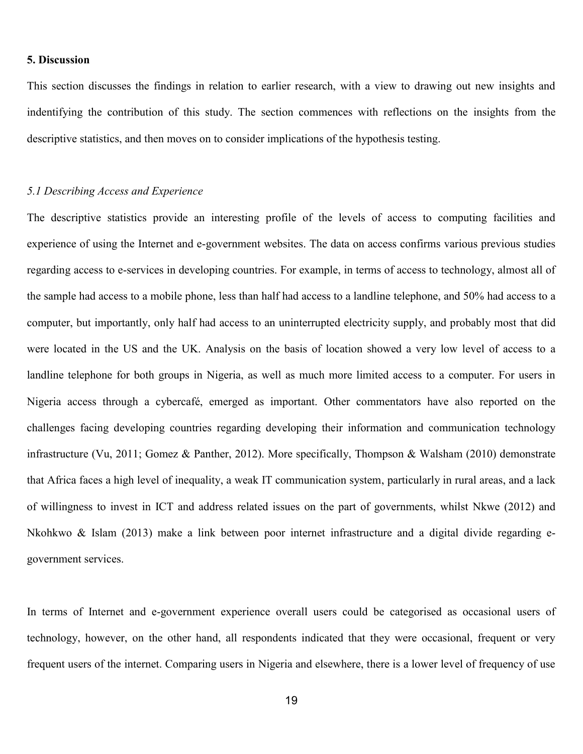### **5. Discussion**

This section discusses the findings in relation to earlier research, with a view to drawing out new insights and indentifying the contribution of this study. The section commences with reflections on the insights from the descriptive statistics, and then moves on to consider implications of the hypothesis testing.

#### *5.1 Describing Access and Experience*

The descriptive statistics provide an interesting profile of the levels of access to computing facilities and experience of using the Internet and e-government websites. The data on access confirms various previous studies regarding access to e-services in developing countries. For example, in terms of access to technology, almost all of the sample had access to a mobile phone, less than half had access to a landline telephone, and 50% had access to a computer, but importantly, only half had access to an uninterrupted electricity supply, and probably most that did were located in the US and the UK. Analysis on the basis of location showed a very low level of access to a landline telephone for both groups in Nigeria, as well as much more limited access to a computer. For users in Nigeria access through a cybercafé, emerged as important. Other commentators have also reported on the challenges facing developing countries regarding developing their information and communication technology infrastructure (Vu, 2011; Gomez & Panther, 2012). More specifically, Thompson & Walsham (2010) demonstrate that Africa faces a high level of inequality, a weak IT communication system, particularly in rural areas, and a lack of willingness to invest in ICT and address related issues on the part of governments, whilst Nkwe (2012) and Nkohkwo & Islam (2013) make a link between poor internet infrastructure and a digital divide regarding egovernment services.

In terms of Internet and e-government experience overall users could be categorised as occasional users of technology, however, on the other hand, all respondents indicated that they were occasional, frequent or very frequent users of the internet. Comparing users in Nigeria and elsewhere, there is a lower level of frequency of use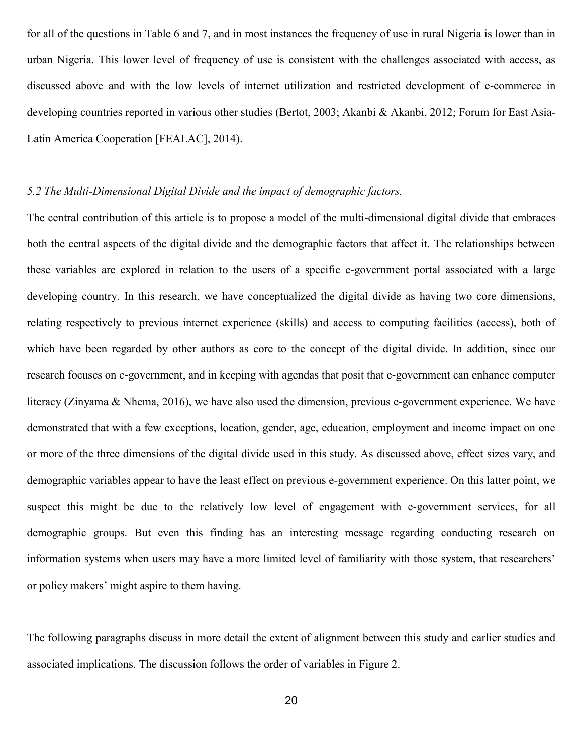for all of the questions in Table 6 and 7, and in most instances the frequency of use in rural Nigeria is lower than in urban Nigeria. This lower level of frequency of use is consistent with the challenges associated with access, as discussed above and with the low levels of internet utilization and restricted development of e-commerce in developing countries reported in various other studies (Bertot, 2003; Akanbi & Akanbi, 2012; Forum for East Asia-Latin America Cooperation [FEALAC], 2014).

#### *5.2 The Multi-Dimensional Digital Divide and the impact of demographic factors.*

The central contribution of this article is to propose a model of the multi-dimensional digital divide that embraces both the central aspects of the digital divide and the demographic factors that affect it. The relationships between these variables are explored in relation to the users of a specific e-government portal associated with a large developing country. In this research, we have conceptualized the digital divide as having two core dimensions, relating respectively to previous internet experience (skills) and access to computing facilities (access), both of which have been regarded by other authors as core to the concept of the digital divide. In addition, since our research focuses on e-government, and in keeping with agendas that posit that e-government can enhance computer literacy (Zinyama & Nhema, 2016), we have also used the dimension, previous e-government experience. We have demonstrated that with a few exceptions, location, gender, age, education, employment and income impact on one or more of the three dimensions of the digital divide used in this study. As discussed above, effect sizes vary, and demographic variables appear to have the least effect on previous e-government experience. On this latter point, we suspect this might be due to the relatively low level of engagement with e-government services, for all demographic groups. But even this finding has an interesting message regarding conducting research on information systems when users may have a more limited level of familiarity with those system, that researchers' or policy makers' might aspire to them having.

The following paragraphs discuss in more detail the extent of alignment between this study and earlier studies and associated implications. The discussion follows the order of variables in Figure 2.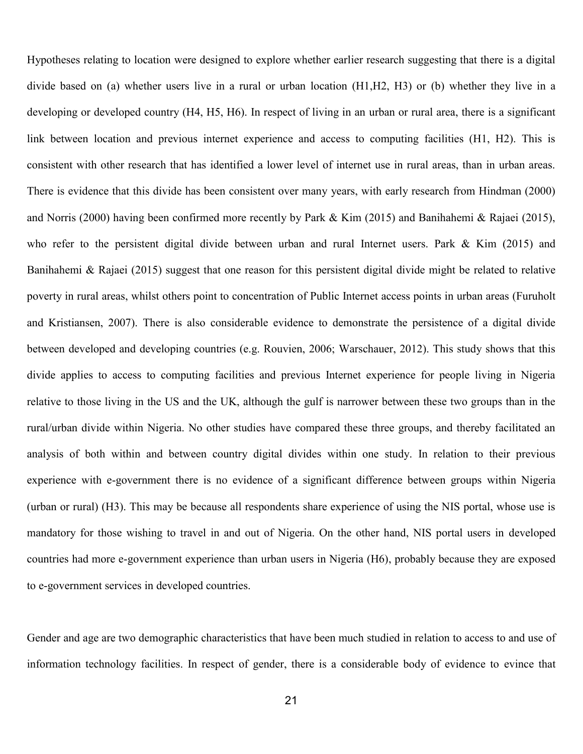Hypotheses relating to location were designed to explore whether earlier research suggesting that there is a digital divide based on (a) whether users live in a rural or urban location (H1,H2, H3) or (b) whether they live in a developing or developed country (H4, H5, H6). In respect of living in an urban or rural area, there is a significant link between location and previous internet experience and access to computing facilities (H1, H2). This is consistent with other research that has identified a lower level of internet use in rural areas, than in urban areas. There is evidence that this divide has been consistent over many years, with early research from Hindman (2000) and Norris (2000) having been confirmed more recently by Park & Kim (2015) and Banihahemi & Rajaei (2015), who refer to the persistent digital divide between urban and rural Internet users. Park & Kim (2015) and Banihahemi & Rajaei (2015) suggest that one reason for this persistent digital divide might be related to relative poverty in rural areas, whilst others point to concentration of Public Internet access points in urban areas (Furuholt and Kristiansen, 2007). There is also considerable evidence to demonstrate the persistence of a digital divide between developed and developing countries (e.g. Rouvien, 2006; Warschauer, 2012). This study shows that this divide applies to access to computing facilities and previous Internet experience for people living in Nigeria relative to those living in the US and the UK, although the gulf is narrower between these two groups than in the rural/urban divide within Nigeria. No other studies have compared these three groups, and thereby facilitated an analysis of both within and between country digital divides within one study. In relation to their previous experience with e-government there is no evidence of a significant difference between groups within Nigeria (urban or rural) (H3). This may be because all respondents share experience of using the NIS portal, whose use is mandatory for those wishing to travel in and out of Nigeria. On the other hand, NIS portal users in developed countries had more e-government experience than urban users in Nigeria (H6), probably because they are exposed to e-government services in developed countries.

Gender and age are two demographic characteristics that have been much studied in relation to access to and use of information technology facilities. In respect of gender, there is a considerable body of evidence to evince that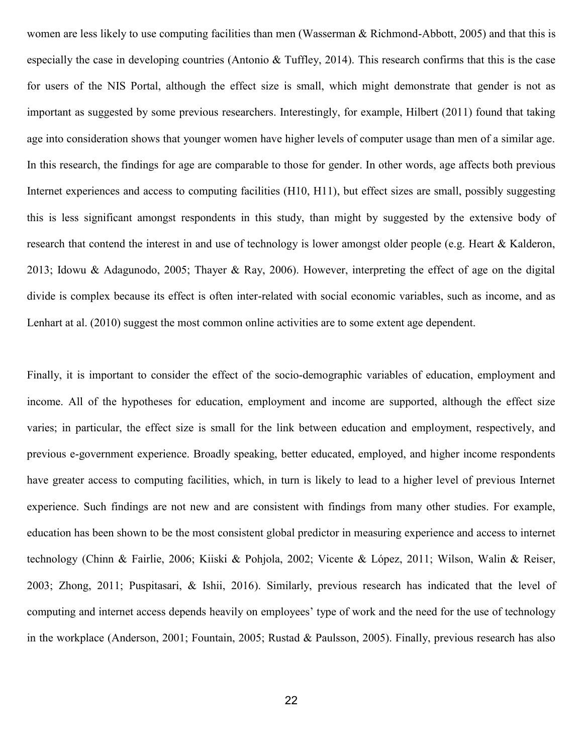women are less likely to use computing facilities than men (Wasserman & Richmond-Abbott, 2005) and that this is especially the case in developing countries (Antonio & Tuffley, 2014). This research confirms that this is the case for users of the NIS Portal, although the effect size is small, which might demonstrate that gender is not as important as suggested by some previous researchers. Interestingly, for example, Hilbert (2011) found that taking age into consideration shows that younger women have higher levels of computer usage than men of a similar age. In this research, the findings for age are comparable to those for gender. In other words, age affects both previous Internet experiences and access to computing facilities (H10, H11), but effect sizes are small, possibly suggesting this is less significant amongst respondents in this study, than might by suggested by the extensive body of research that contend the interest in and use of technology is lower amongst older people (e.g. Heart & Kalderon, 2013; Idowu & Adagunodo, 2005; Thayer & Ray, 2006). However, interpreting the effect of age on the digital divide is complex because its effect is often inter-related with social economic variables, such as income, and as Lenhart at al. (2010) suggest the most common online activities are to some extent age dependent.

Finally, it is important to consider the effect of the socio-demographic variables of education, employment and income. All of the hypotheses for education, employment and income are supported, although the effect size varies; in particular, the effect size is small for the link between education and employment, respectively, and previous e-government experience. Broadly speaking, better educated, employed, and higher income respondents have greater access to computing facilities, which, in turn is likely to lead to a higher level of previous Internet experience. Such findings are not new and are consistent with findings from many other studies. For example, education has been shown to be the most consistent global predictor in measuring experience and access to internet technology (Chinn & Fairlie, 2006; Kiiski & Pohjola, 2002; Vicente & López, 2011; Wilson, Walin & Reiser, 2003; Zhong, 2011; Puspitasari, & Ishii, 2016). Similarly, previous research has indicated that the level of computing and internet access depends heavily on employees' type of work and the need for the use of technology in the workplace (Anderson, 2001; Fountain, 2005; Rustad & Paulsson, 2005). Finally, previous research has also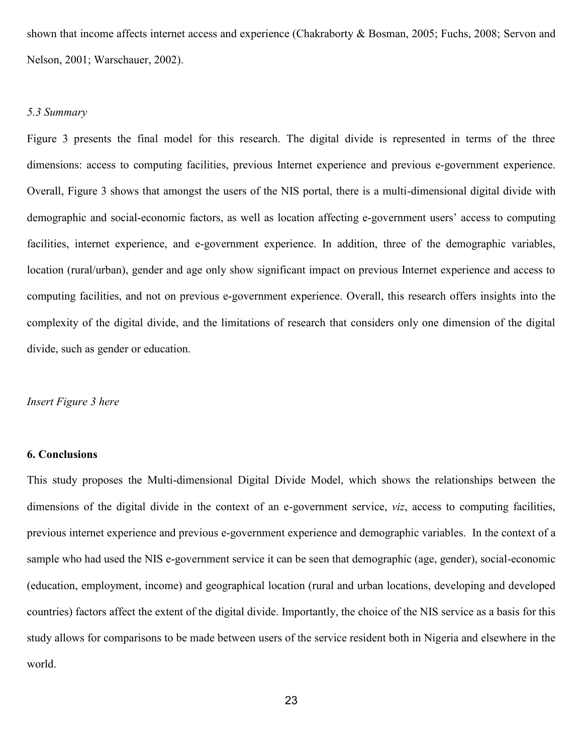shown that income affects internet access and experience (Chakraborty & Bosman, 2005; Fuchs, 2008; Servon and Nelson, 2001; Warschauer, 2002).

#### *5.3 Summary*

Figure 3 presents the final model for this research. The digital divide is represented in terms of the three dimensions: access to computing facilities, previous Internet experience and previous e-government experience. Overall, Figure 3 shows that amongst the users of the NIS portal, there is a multi-dimensional digital divide with demographic and social-economic factors, as well as location affecting e-government users' access to computing facilities, internet experience, and e-government experience. In addition, three of the demographic variables, location (rural/urban), gender and age only show significant impact on previous Internet experience and access to computing facilities, and not on previous e-government experience. Overall, this research offers insights into the complexity of the digital divide, and the limitations of research that considers only one dimension of the digital divide, such as gender or education.

### *Insert Figure 3 here*

#### **6. Conclusions**

This study proposes the Multi-dimensional Digital Divide Model, which shows the relationships between the dimensions of the digital divide in the context of an e-government service, *viz*, access to computing facilities, previous internet experience and previous e-government experience and demographic variables. In the context of a sample who had used the NIS e-government service it can be seen that demographic (age, gender), social-economic (education, employment, income) and geographical location (rural and urban locations, developing and developed countries) factors affect the extent of the digital divide. Importantly, the choice of the NIS service as a basis for this study allows for comparisons to be made between users of the service resident both in Nigeria and elsewhere in the world.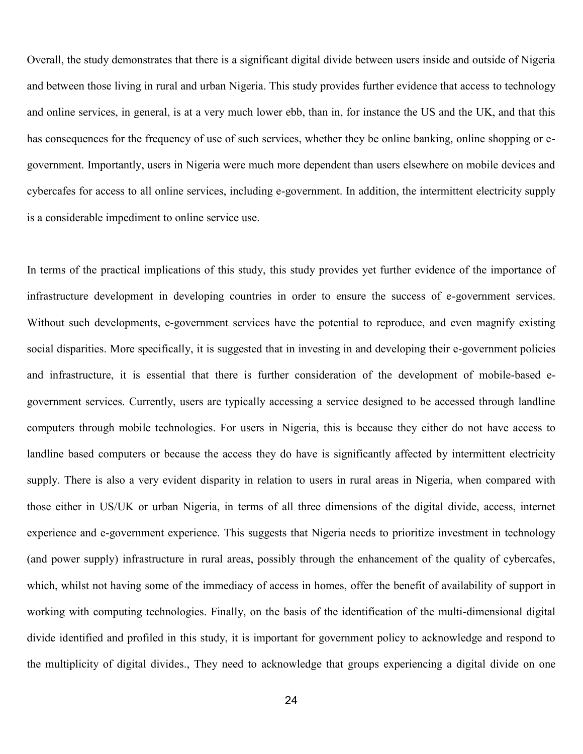Overall, the study demonstrates that there is a significant digital divide between users inside and outside of Nigeria and between those living in rural and urban Nigeria. This study provides further evidence that access to technology and online services, in general, is at a very much lower ebb, than in, for instance the US and the UK, and that this has consequences for the frequency of use of such services, whether they be online banking, online shopping or egovernment. Importantly, users in Nigeria were much more dependent than users elsewhere on mobile devices and cybercafes for access to all online services, including e-government. In addition, the intermittent electricity supply is a considerable impediment to online service use.

In terms of the practical implications of this study, this study provides yet further evidence of the importance of infrastructure development in developing countries in order to ensure the success of e-government services. Without such developments, e-government services have the potential to reproduce, and even magnify existing social disparities. More specifically, it is suggested that in investing in and developing their e-government policies and infrastructure, it is essential that there is further consideration of the development of mobile-based egovernment services. Currently, users are typically accessing a service designed to be accessed through landline computers through mobile technologies. For users in Nigeria, this is because they either do not have access to landline based computers or because the access they do have is significantly affected by intermittent electricity supply. There is also a very evident disparity in relation to users in rural areas in Nigeria, when compared with those either in US/UK or urban Nigeria, in terms of all three dimensions of the digital divide, access, internet experience and e-government experience. This suggests that Nigeria needs to prioritize investment in technology (and power supply) infrastructure in rural areas, possibly through the enhancement of the quality of cybercafes, which, whilst not having some of the immediacy of access in homes, offer the benefit of availability of support in working with computing technologies. Finally, on the basis of the identification of the multi-dimensional digital divide identified and profiled in this study, it is important for government policy to acknowledge and respond to the multiplicity of digital divides., They need to acknowledge that groups experiencing a digital divide on one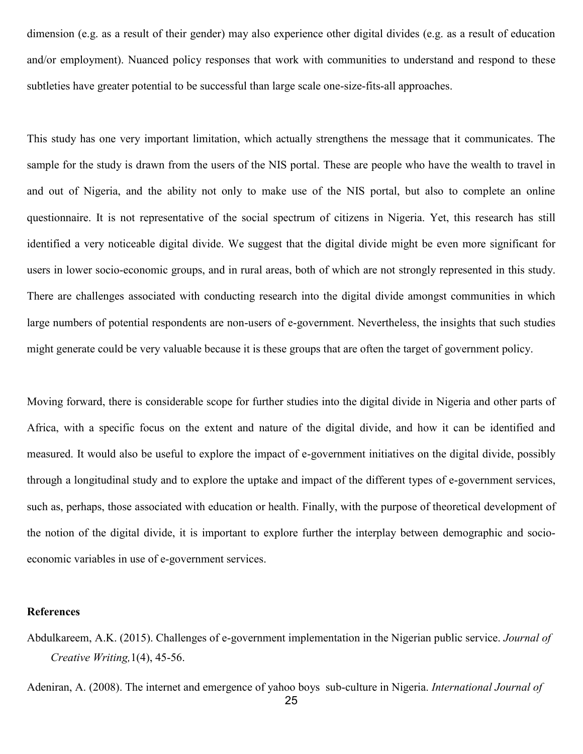dimension (e.g. as a result of their gender) may also experience other digital divides (e.g. as a result of education and/or employment). Nuanced policy responses that work with communities to understand and respond to these subtleties have greater potential to be successful than large scale one-size-fits-all approaches.

This study has one very important limitation, which actually strengthens the message that it communicates. The sample for the study is drawn from the users of the NIS portal. These are people who have the wealth to travel in and out of Nigeria, and the ability not only to make use of the NIS portal, but also to complete an online questionnaire. It is not representative of the social spectrum of citizens in Nigeria. Yet, this research has still identified a very noticeable digital divide. We suggest that the digital divide might be even more significant for users in lower socio-economic groups, and in rural areas, both of which are not strongly represented in this study. There are challenges associated with conducting research into the digital divide amongst communities in which large numbers of potential respondents are non-users of e-government. Nevertheless, the insights that such studies might generate could be very valuable because it is these groups that are often the target of government policy.

Moving forward, there is considerable scope for further studies into the digital divide in Nigeria and other parts of Africa, with a specific focus on the extent and nature of the digital divide, and how it can be identified and measured. It would also be useful to explore the impact of e-government initiatives on the digital divide, possibly through a longitudinal study and to explore the uptake and impact of the different types of e-government services, such as, perhaps, those associated with education or health. Finally, with the purpose of theoretical development of the notion of the digital divide, it is important to explore further the interplay between demographic and socioeconomic variables in use of e-government services.

#### **References**

Abdulkareem, A.K. (2015). Challenges of e-government implementation in the Nigerian public service. *Journal of Creative Writing,*1(4), 45-56.

Adeniran, A. (2008). The internet and emergence of yahoo boys sub-culture in Nigeria. *International Journal of*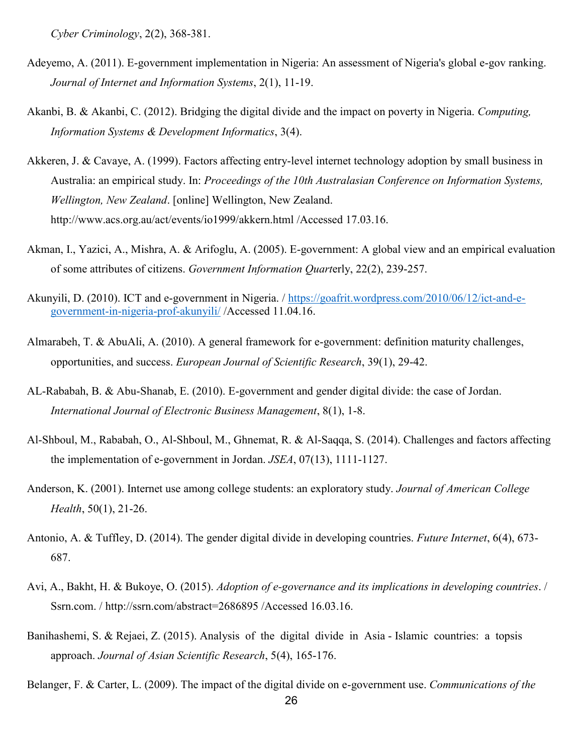*Cyber Criminology*, 2(2), 368-381.

- Adeyemo, A. (2011). E-government implementation in Nigeria: An assessment of Nigeria's global e-gov ranking. *Journal of Internet and Information Systems*, 2(1), 11-19.
- Akanbi, B. & Akanbi, C. (2012). Bridging the digital divide and the impact on poverty in Nigeria. *Computing, Information Systems & Development Informatics*, 3(4).
- Akkeren, J. & Cavaye, A. (1999). Factors affecting entry-level internet technology adoption by small business in Australia: an empirical study. In: *Proceedings of the 10th Australasian Conference on Information Systems, Wellington, New Zealand*. [online] Wellington, New Zealand. http://www.acs.org.au/act/events/io1999/akkern.html /Accessed 17.03.16.
- Akman, I., Yazici, A., Mishra, A. & Arifoglu, A. (2005). E-government: A global view and an empirical evaluation of some attributes of citizens. *Government Information Quart*erly, 22(2), 239-257.
- Akunyili, D. (2010). ICT and e-government in Nigeria. / [https://goafrit.wordpress.com/2010/06/12/ict-and-e](https://goafrit.wordpress.com/2010/06/12/ict-and-e-government-in-nigeria-prof-akunyili/)[government-in-nigeria-prof-akunyili/](https://goafrit.wordpress.com/2010/06/12/ict-and-e-government-in-nigeria-prof-akunyili/) /Accessed 11.04.16.
- Almarabeh, T. & AbuAli, A. (2010). A general framework for e-government: definition maturity challenges, opportunities, and success. *European Journal of Scientific Research*, 39(1), 29-42.
- AL-Rababah, B. & Abu-Shanab, E. (2010). E-government and gender digital divide: the case of Jordan. *International Journal of Electronic Business Management*, 8(1), 1-8.
- Al-Shboul, M., Rababah, O., Al-Shboul, M., Ghnemat, R. & Al-Saqqa, S. (2014). Challenges and factors affecting the implementation of e-government in Jordan. *JSEA*, 07(13), 1111-1127.
- Anderson, K. (2001). Internet use among college students: an exploratory study. *Journal of American College Health*, 50(1), 21-26.
- Antonio, A. & Tuffley, D. (2014). The gender digital divide in developing countries. *Future Internet*, 6(4), 673- 687.
- Avi, A., Bakht, H. & Bukoye, O. (2015). *Adoption of e-governance and its implications in developing countries*. / Ssrn.com. / http://ssrn.com/abstract=2686895 /Accessed 16.03.16.
- Banihashemi, S. & Rejaei, Z. (2015). Analysis of the digital divide in Asia Islamic countries: a topsis approach. *Journal of Asian Scientific Research*, 5(4), 165-176.

Belanger, F. & Carter, L. (2009). The impact of the digital divide on e-government use. *Communications of the*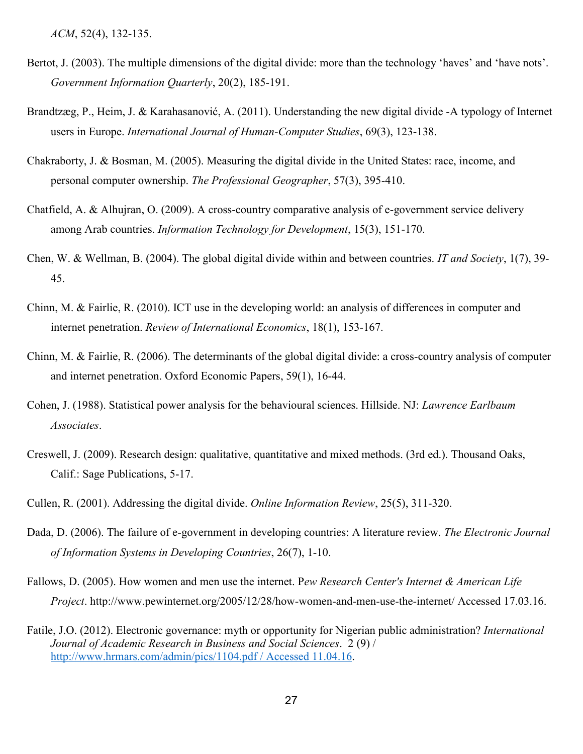*ACM*, 52(4), 132-135.

- Bertot, J. (2003). The multiple dimensions of the digital divide: more than the technology 'haves' and 'have nots'. *Government Information Quarterly*, 20(2), 185-191.
- Brandtzæg, P., Heim, J. & Karahasanović, A. (2011). Understanding the new digital divide -A typology of Internet users in Europe. *International Journal of Human-Computer Studies*, 69(3), 123-138.
- Chakraborty, J. & Bosman, M. (2005). Measuring the digital divide in the United States: race, income, and personal computer ownership. *The Professional Geographer*, 57(3), 395-410.
- Chatfield, A. & Alhujran, O. (2009). A cross-country comparative analysis of e-government service delivery among Arab countries. *Information Technology for Development*, 15(3), 151-170.
- Chen, W. & Wellman, B. (2004). The global digital divide within and between countries. *IT and Society*, 1(7), 39- 45.
- Chinn, M. & Fairlie, R. (2010). ICT use in the developing world: an analysis of differences in computer and internet penetration. *Review of International Economics*, 18(1), 153-167.
- Chinn, M. & Fairlie, R. (2006). The determinants of the global digital divide: a cross-country analysis of computer and internet penetration. Oxford Economic Papers, 59(1), 16-44.
- Cohen, J. (1988). Statistical power analysis for the behavioural sciences. Hillside. NJ: *Lawrence Earlbaum Associates*.
- Creswell, J. (2009). Research design: qualitative, quantitative and mixed methods. (3rd ed.). Thousand Oaks, Calif.: Sage Publications, 5-17.
- Cullen, R. (2001). Addressing the digital divide. *Online Information Review*, 25(5), 311-320.
- Dada, D. (2006). The failure of e-government in developing countries: A literature review. *The Electronic Journal of Information Systems in Developing Countries*, 26(7), 1-10.
- Fallows, D. (2005). How women and men use the internet. P*ew Research Center's Internet & American Life Project*. http://www.pewinternet.org/2005/12/28/how-women-and-men-use-the-internet/ Accessed 17.03.16.
- Fatile, J.O. (2012). Electronic governance: myth or opportunity for Nigerian public administration? *International Journal of Academic Research in Business and Social Sciences*. 2 (9) / [http://www.hrmars.com/admin/pics/1104.pdf / Accessed 11.04.16.](http://www.hrmars.com/admin/pics/1104.pdf%20/%20Accessed%2011.04.16)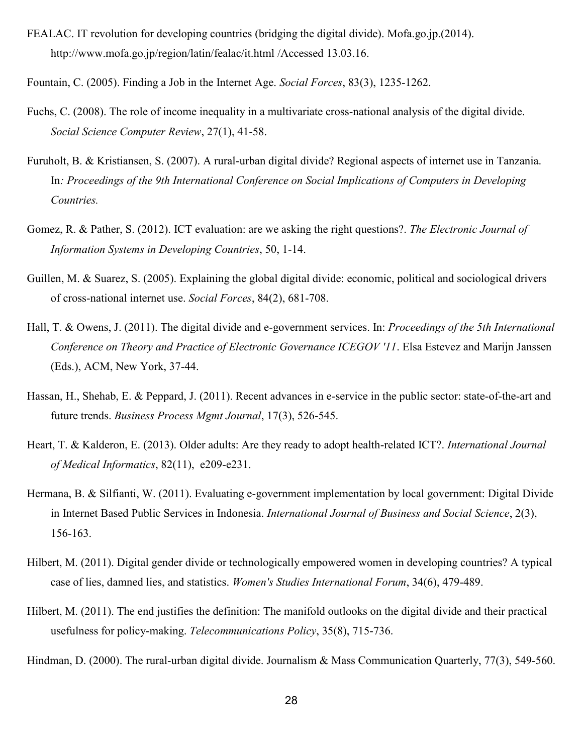FEALAC. IT revolution for developing countries (bridging the digital divide). Mofa.go.jp.(2014). http://www.mofa.go.jp/region/latin/fealac/it.html /Accessed 13.03.16.

Fountain, C. (2005). Finding a Job in the Internet Age. *Social Forces*, 83(3), 1235-1262.

- Fuchs, C. (2008). The role of income inequality in a multivariate cross-national analysis of the digital divide. *Social Science Computer Review*, 27(1), 41-58.
- Furuholt, B. & Kristiansen, S. (2007). A rural-urban digital divide? Regional aspects of internet use in Tanzania. In*: Proceedings of the 9th International Conference on Social Implications of Computers in Developing Countries.*
- Gomez, R. & Pather, S. (2012). ICT evaluation: are we asking the right questions?. *The Electronic Journal of Information Systems in Developing Countries*, 50, 1-14.
- Guillen, M. & Suarez, S. (2005). Explaining the global digital divide: economic, political and sociological drivers of cross-national internet use. *Social Forces*, 84(2), 681-708.
- Hall, T. & Owens, J. (2011). The digital divide and e-government services. In: *Proceedings of the 5th International Conference on Theory and Practice of Electronic Governance ICEGOV '11*. Elsa Estevez and Marijn Janssen (Eds.), ACM, New York, 37-44.
- Hassan, H., Shehab, E. & Peppard, J. (2011). Recent advances in e-service in the public sector: state-of-the-art and future trends. *Business Process Mgmt Journal*, 17(3), 526-545.
- Heart, T. & Kalderon, E. (2013). Older adults: Are they ready to adopt health-related ICT?. *International Journal of Medical Informatics*, 82(11), e209-e231.
- Hermana, B. & Silfianti, W. (2011). Evaluating e-government implementation by local government: Digital Divide in Internet Based Public Services in Indonesia. *International Journal of Business and Social Science*, 2(3), 156-163.
- Hilbert, M. (2011). Digital gender divide or technologically empowered women in developing countries? A typical case of lies, damned lies, and statistics. *Women's Studies International Forum*, 34(6), 479-489.
- Hilbert, M. (2011). The end justifies the definition: The manifold outlooks on the digital divide and their practical usefulness for policy-making. *Telecommunications Policy*, 35(8), 715-736.

Hindman, D. (2000). The rural-urban digital divide. Journalism & Mass Communication Quarterly, 77(3), 549-560.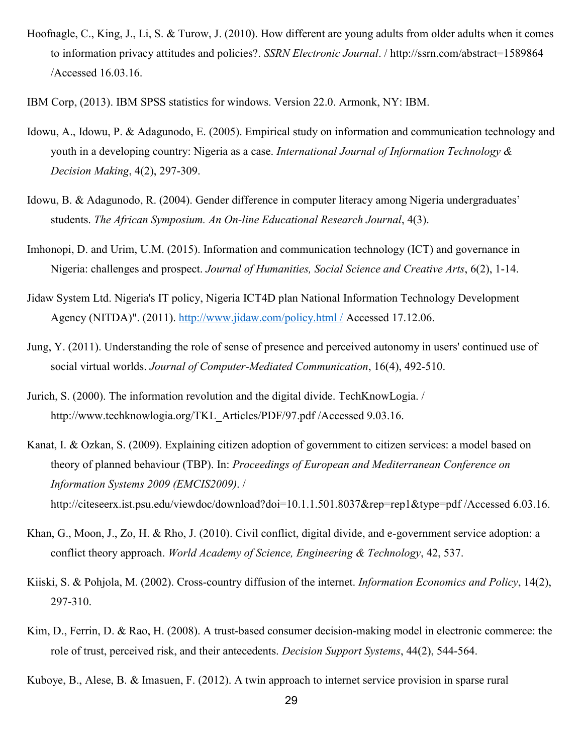- Hoofnagle, C., King, J., Li, S. & Turow, J. (2010). How different are young adults from older adults when it comes to information privacy attitudes and policies?. *SSRN Electronic Journal*. / http://ssrn.com/abstract=1589864 /Accessed 16.03.16.
- IBM Corp, (2013). IBM SPSS statistics for windows. Version 22.0. Armonk, NY: IBM.
- Idowu, A., Idowu, P. & Adagunodo, E. (2005). Empirical study on information and communication technology and youth in a developing country: Nigeria as a case. *International Journal of Information Technology & Decision Making*, 4(2), 297-309.
- Idowu, B. & Adagunodo, R. (2004). Gender difference in computer literacy among Nigeria undergraduates' students. *The African Symposium. An On-line Educational Research Journal*, 4(3).
- Imhonopi, D. and Urim, U.M. (2015). Information and communication technology (ICT) and governance in Nigeria: challenges and prospect. *Journal of Humanities, Social Science and Creative Arts*, 6(2), 1-14.
- Jidaw System Ltd. Nigeria's IT policy, Nigeria ICT4D plan National Information Technology Development Agency (NITDA)". (2011). [http://www.jidaw.com/policy.html /](http://www.jidaw.com/policy.html%20/) Accessed 17.12.06.
- Jung, Y. (2011). Understanding the role of sense of presence and perceived autonomy in users' continued use of social virtual worlds. *Journal of Computer-Mediated Communication*, 16(4), 492-510.
- Jurich, S. (2000). The information revolution and the digital divide. TechKnowLogia. / http://www.techknowlogia.org/TKL\_Articles/PDF/97.pdf /Accessed 9.03.16.
- Kanat, I. & Ozkan, S. (2009). Explaining citizen adoption of government to citizen services: a model based on theory of planned behaviour (TBP). In: *Proceedings of European and Mediterranean Conference on Information Systems 2009 (EMCIS2009)*. / http://citeseerx.ist.psu.edu/viewdoc/download?doi=10.1.1.501.8037&rep=rep1&type=pdf /Accessed 6.03.16.
- Khan, G., Moon, J., Zo, H. & Rho, J. (2010). Civil conflict, digital divide, and e-government service adoption: a conflict theory approach. *World Academy of Science, Engineering & Technology*, 42, 537.
- Kiiski, S. & Pohjola, M. (2002). Cross-country diffusion of the internet. *Information Economics and Policy*, 14(2), 297-310.
- Kim, D., Ferrin, D. & Rao, H. (2008). A trust-based consumer decision-making model in electronic commerce: the role of trust, perceived risk, and their antecedents. *Decision Support Systems*, 44(2), 544-564.
- Kuboye, B., Alese, B. & Imasuen, F. (2012). A twin approach to internet service provision in sparse rural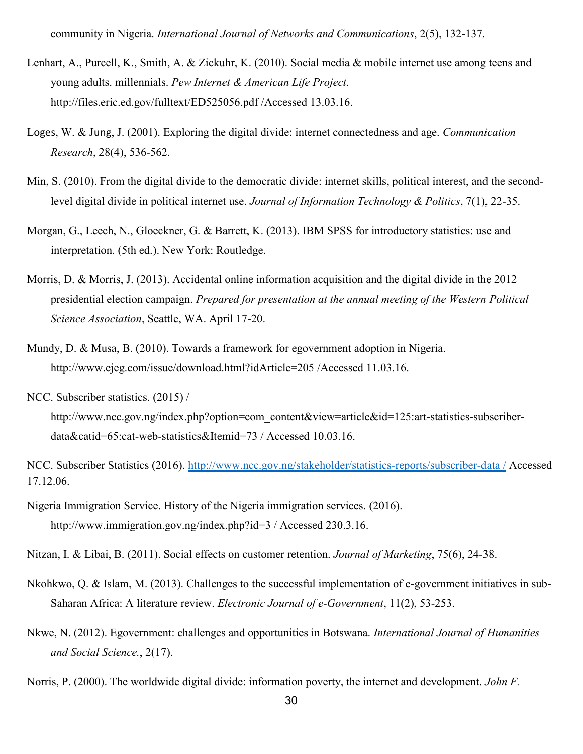community in Nigeria. *International Journal of Networks and Communications*, 2(5), 132-137.

- Lenhart, A., Purcell, K., Smith, A. & Zickuhr, K. (2010). Social media & mobile internet use among teens and young adults. millennials. *Pew Internet & American Life Project*. http://files.eric.ed.gov/fulltext/ED525056.pdf /Accessed 13.03.16.
- Loges, W. & Jung, J. (2001). Exploring the digital divide: internet connectedness and age. *Communication Research*, 28(4), 536-562.
- Min, S. (2010). From the digital divide to the democratic divide: internet skills, political interest, and the secondlevel digital divide in political internet use. *Journal of Information Technology & Politics*, 7(1), 22-35.
- Morgan, G., Leech, N., Gloeckner, G. & Barrett, K. (2013). IBM SPSS for introductory statistics: use and interpretation. (5th ed.). New York: Routledge.
- Morris, D. & Morris, J. (2013). Accidental online information acquisition and the digital divide in the 2012 presidential election campaign. *Prepared for presentation at the annual meeting of the Western Political Science Association*, Seattle, WA. April 17-20.
- Mundy, D. & Musa, B. (2010). Towards a framework for egovernment adoption in Nigeria. http://www.ejeg.com/issue/download.html?idArticle=205 /Accessed 11.03.16.
- NCC. Subscriber statistics. (2015) /
	- http://www.ncc.gov.ng/index.php?option=com\_content&view=article&id=125:art-statistics-subscriberdata&catid=65:cat-web-statistics&Itemid=73 / Accessed 10.03.16.
- NCC. Subscriber Statistics (2016). [http://www.ncc.gov.ng/stakeholder/statistics-reports/subscriber-data /](http://www.ncc.gov.ng/stakeholder/statistics-reports/subscriber-data%20/) Accessed 17.12.06.
- Nigeria Immigration Service. History of the Nigeria immigration services. (2016). http://www.immigration.gov.ng/index.php?id=3 / Accessed 230.3.16.
- Nitzan, I. & Libai, B. (2011). Social effects on customer retention. *Journal of Marketing*, 75(6), 24-38.
- Nkohkwo, Q. & Islam, M. (2013). Challenges to the successful implementation of e-government initiatives in sub-Saharan Africa: A literature review. *Electronic Journal of e-Government*, 11(2), 53-253.
- Nkwe, N. (2012). Egovernment: challenges and opportunities in Botswana. *International Journal of Humanities and Social Science.*, 2(17).
- Norris, P. (2000). The worldwide digital divide: information poverty, the internet and development. *John F.*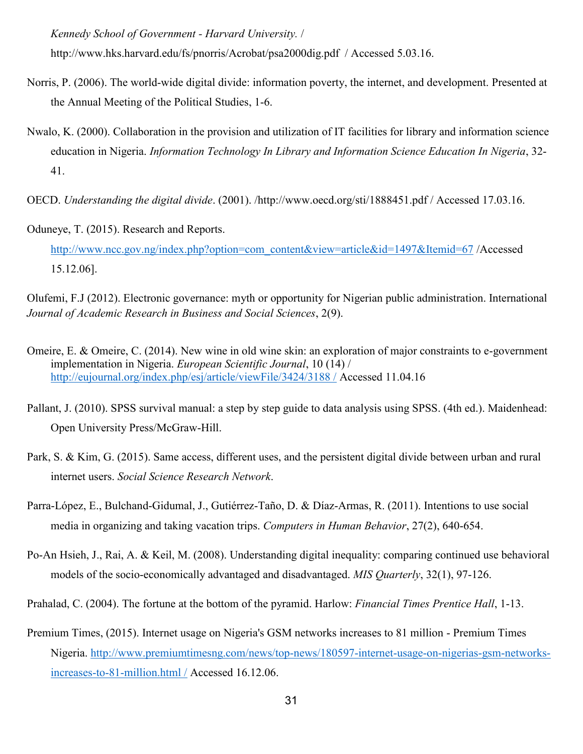*Kennedy School of Government - Harvard University.* /

http://www.hks.harvard.edu/fs/pnorris/Acrobat/psa2000dig.pdf / Accessed 5.03.16.

- Norris, P. (2006). The world-wide digital divide: information poverty, the internet, and development. Presented at the Annual Meeting of the Political Studies, 1-6.
- Nwalo, K. (2000). Collaboration in the provision and utilization of IT facilities for library and information science education in Nigeria. *Information Technology In Library and Information Science Education In Nigeria*, 32- 41.
- OECD. *Understanding the digital divide*. (2001). /http://www.oecd.org/sti/1888451.pdf / Accessed 17.03.16.
- Oduneye, T. (2015). Research and Reports.
	- [http://www.ncc.gov.ng/index.php?option=com\\_content&view=article&id=1497&Itemid=67](http://www.ncc.gov.ng/index.php?option=com_content&view=article&id=1497&Itemid=67) /Accessed 15.12.06].
- Olufemi, F.J (2012). Electronic governance: myth or opportunity for Nigerian public administration. International *Journal of Academic Research in Business and Social Sciences*, 2(9).
- Omeire, E. & Omeire, C. (2014). New wine in old wine skin: an exploration of major constraints to e-government implementation in Nigeria. *European Scientific Journal*, 10 (14) / [http://eujournal.org/index.php/esj/article/viewFile/3424/3188 /](http://eujournal.org/index.php/esj/article/viewFile/3424/3188%20/) Accessed 11.04.16
- Pallant, J. (2010). SPSS survival manual: a step by step guide to data analysis using SPSS. (4th ed.). Maidenhead: Open University Press/McGraw-Hill.
- Park, S. & Kim, G. (2015). Same access, different uses, and the persistent digital divide between urban and rural internet users. *Social Science Research Network*.
- Parra-López, E., Bulchand-Gidumal, J., Gutiérrez-Taño, D. & Díaz-Armas, R. (2011). Intentions to use social media in organizing and taking vacation trips. *Computers in Human Behavior*, 27(2), 640-654.
- Po-An Hsieh, J., Rai, A. & Keil, M. (2008). Understanding digital inequality: comparing continued use behavioral models of the socio-economically advantaged and disadvantaged. *MIS Quarterly*, 32(1), 97-126.
- Prahalad, C. (2004). The fortune at the bottom of the pyramid. Harlow: *Financial Times Prentice Hall*, 1-13.
- Premium Times, (2015). Internet usage on Nigeria's GSM networks increases to 81 million Premium Times Nigeria. [http://www.premiumtimesng.com/news/top-news/180597-internet-usage-on-nigerias-gsm-networks](http://www.premiumtimesng.com/news/top-news/180597-internet-usage-on-nigerias-gsm-networks-increases-to-81-million.html%20/)[increases-to-81-million.html /](http://www.premiumtimesng.com/news/top-news/180597-internet-usage-on-nigerias-gsm-networks-increases-to-81-million.html%20/) Accessed 16.12.06.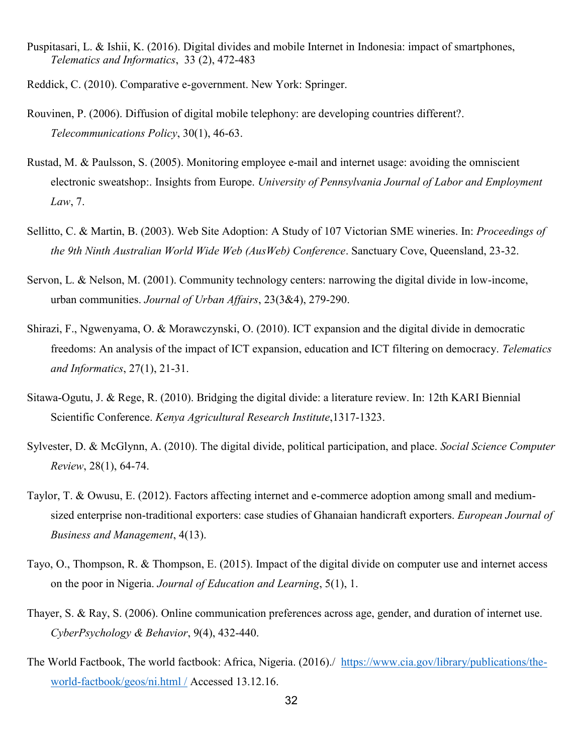- Puspitasari, L. & Ishii, K. (2016). Digital divides and mobile Internet in Indonesia: impact of smartphones, *Telematics and Informatics*, 33 (2), 472-483
- Reddick, C. (2010). Comparative e-government. New York: Springer.
- Rouvinen, P. (2006). Diffusion of digital mobile telephony: are developing countries different?. *Telecommunications Policy*, 30(1), 46-63.
- Rustad, M. & Paulsson, S. (2005). Monitoring employee e-mail and internet usage: avoiding the omniscient electronic sweatshop:. Insights from Europe. *University of Pennsylvania Journal of Labor and Employment Law*, 7.
- Sellitto, C. & Martin, B. (2003). Web Site Adoption: A Study of 107 Victorian SME wineries. In: *Proceedings of the 9th Ninth Australian World Wide Web (AusWeb) Conference*. Sanctuary Cove, Queensland, 23-32.
- Servon, L. & Nelson, M. (2001). Community technology centers: narrowing the digital divide in low-income, urban communities. *Journal of Urban Affairs*, 23(3&4), 279-290.
- Shirazi, F., Ngwenyama, O. & Morawczynski, O. (2010). ICT expansion and the digital divide in democratic freedoms: An analysis of the impact of ICT expansion, education and ICT filtering on democracy. *Telematics and Informatics*, 27(1), 21-31.
- Sitawa-Ogutu, J. & Rege, R. (2010). Bridging the digital divide: a literature review. In: 12th KARI Biennial Scientific Conference. *Kenya Agricultural Research Institute*,1317-1323.
- Sylvester, D. & McGlynn, A. (2010). The digital divide, political participation, and place. *Social Science Computer Review*, 28(1), 64-74.
- Taylor, T. & Owusu, E. (2012). Factors affecting internet and e-commerce adoption among small and mediumsized enterprise non-traditional exporters: case studies of Ghanaian handicraft exporters. *European Journal of Business and Management*, 4(13).
- Tayo, O., Thompson, R. & Thompson, E. (2015). Impact of the digital divide on computer use and internet access on the poor in Nigeria. *Journal of Education and Learning*, 5(1), 1.
- Thayer, S. & Ray, S. (2006). Online communication preferences across age, gender, and duration of internet use. *CyberPsychology & Behavior*, 9(4), 432-440.
- The World Factbook, The world factbook: Africa, Nigeria. (2016)./ [https://www.cia.gov/library/publications/the](https://www.cia.gov/library/publications/the-world-factbook/geos/ni.html%20/)[world-factbook/geos/ni.html /](https://www.cia.gov/library/publications/the-world-factbook/geos/ni.html%20/) Accessed 13.12.16.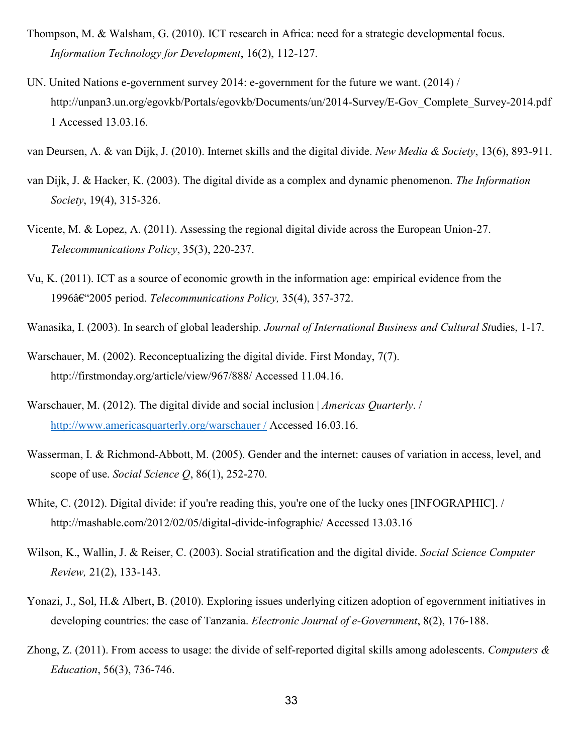- Thompson, M. & Walsham, G. (2010). ICT research in Africa: need for a strategic developmental focus. *Information Technology for Development*, 16(2), 112-127.
- UN. United Nations e-government survey 2014: e-government for the future we want. (2014) / http://unpan3.un.org/egovkb/Portals/egovkb/Documents/un/2014-Survey/E-Gov\_Complete\_Survey-2014.pdf 1 Accessed 13.03.16.

van Deursen, A. & van Dijk, J. (2010). Internet skills and the digital divide. *New Media & Society*, 13(6), 893-911.

- van Dijk, J. & Hacker, K. (2003). The digital divide as a complex and dynamic phenomenon. *The Information Society*, 19(4), 315-326.
- Vicente, M. & Lopez, A. (2011). Assessing the regional digital divide across the European Union-27. *Telecommunications Policy*, 35(3), 220-237.
- Vu, K. (2011). ICT as a source of economic growth in the information age: empirical evidence from the 1996–2005 period. *Telecommunications Policy,* 35(4), 357-372.
- Wanasika, I. (2003). In search of global leadership. *Journal of International Business and Cultural St*udies, 1-17.
- Warschauer, M. (2002). Reconceptualizing the digital divide. First Monday, 7(7). http://firstmonday.org/article/view/967/888/ Accessed 11.04.16.
- Warschauer, M. (2012). The digital divide and social inclusion | *Americas Quarterly*. / [http://www.americasquarterly.org/warschauer /](http://www.americasquarterly.org/warschauer%20/) Accessed 16.03.16.
- Wasserman, I. & Richmond-Abbott, M. (2005). Gender and the internet: causes of variation in access, level, and scope of use. *Social Science Q*, 86(1), 252-270.
- White, C. (2012). Digital divide: if you're reading this, you're one of the lucky ones [INFOGRAPHIC]. / http://mashable.com/2012/02/05/digital-divide-infographic/ Accessed 13.03.16
- Wilson, K., Wallin, J. & Reiser, C. (2003). Social stratification and the digital divide. *Social Science Computer Review,* 21(2), 133-143.
- Yonazi, J., Sol, H.& Albert, B. (2010). Exploring issues underlying citizen adoption of egovernment initiatives in developing countries: the case of Tanzania. *Electronic Journal of e-Government*, 8(2), 176-188.
- Zhong, Z. (2011). From access to usage: the divide of self-reported digital skills among adolescents. *Computers & Education*, 56(3), 736-746.